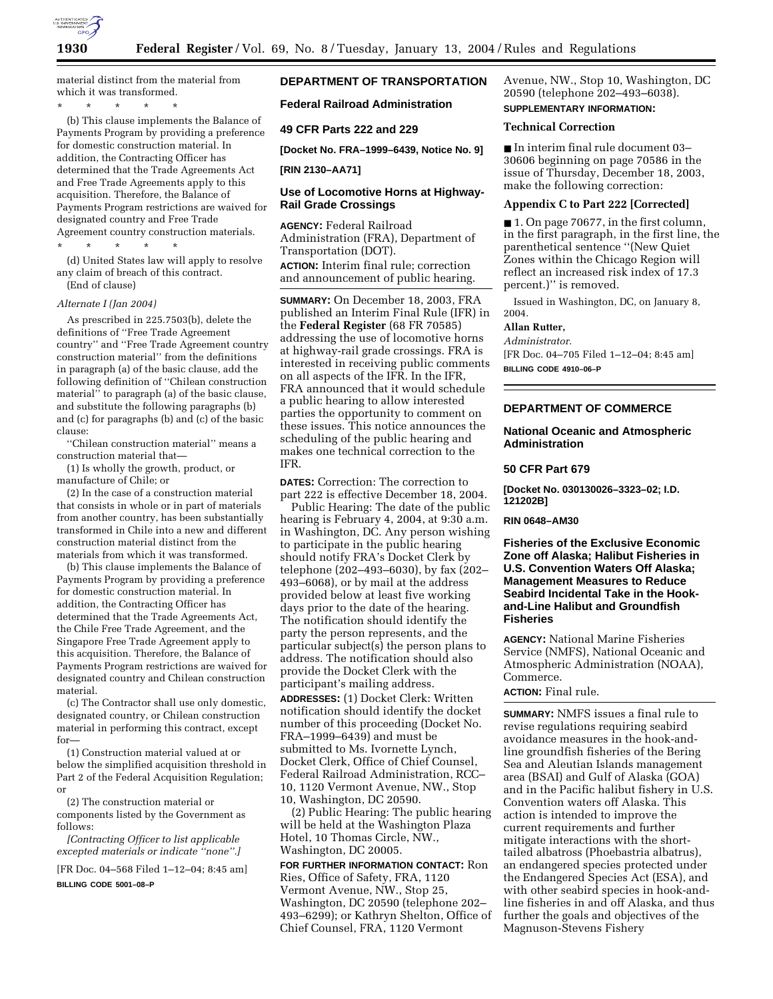

material distinct from the material from which it was transformed.

\* \* \* \* \*

(b) This clause implements the Balance of Payments Program by providing a preference for domestic construction material. In addition, the Contracting Officer has determined that the Trade Agreements Act and Free Trade Agreements apply to this acquisition. Therefore, the Balance of Payments Program restrictions are waived for designated country and Free Trade Agreement country construction materials.

\* \* \* \* \* (d) United States law will apply to resolve

any claim of breach of this contract. (End of clause)

#### *Alternate I (Jan 2004)*

As prescribed in 225.7503(b), delete the definitions of ''Free Trade Agreement country'' and ''Free Trade Agreement country construction material'' from the definitions in paragraph (a) of the basic clause, add the following definition of ''Chilean construction material'' to paragraph (a) of the basic clause, and substitute the following paragraphs (b) and (c) for paragraphs (b) and (c) of the basic clause:

''Chilean construction material'' means a construction material that—

(1) Is wholly the growth, product, or manufacture of Chile; or

(2) In the case of a construction material that consists in whole or in part of materials from another country, has been substantially transformed in Chile into a new and different construction material distinct from the materials from which it was transformed.

(b) This clause implements the Balance of Payments Program by providing a preference for domestic construction material. In addition, the Contracting Officer has determined that the Trade Agreements Act, the Chile Free Trade Agreement, and the Singapore Free Trade Agreement apply to this acquisition. Therefore, the Balance of Payments Program restrictions are waived for designated country and Chilean construction material.

(c) The Contractor shall use only domestic, designated country, or Chilean construction material in performing this contract, except for—

(1) Construction material valued at or below the simplified acquisition threshold in Part 2 of the Federal Acquisition Regulation; or

(2) The construction material or components listed by the Government as follows:

*[Contracting Officer to list applicable excepted materials or indicate ''none''.]*

[FR Doc. 04–568 Filed 1–12–04; 8:45 am]

**BILLING CODE 5001–08–P**

# **DEPARTMENT OF TRANSPORTATION**

**Federal Railroad Administration** 

#### **49 CFR Parts 222 and 229**

**[Docket No. FRA–1999–6439, Notice No. 9]** 

# **[RIN 2130–AA71]**

# **Use of Locomotive Horns at Highway-Rail Grade Crossings**

**AGENCY:** Federal Railroad Administration (FRA), Department of Transportation (DOT).

**ACTION:** Interim final rule; correction and announcement of public hearing.

**SUMMARY:** On December 18, 2003, FRA published an Interim Final Rule (IFR) in the **Federal Register** (68 FR 70585) addressing the use of locomotive horns at highway-rail grade crossings. FRA is interested in receiving public comments on all aspects of the IFR. In the IFR, FRA announced that it would schedule a public hearing to allow interested parties the opportunity to comment on these issues. This notice announces the scheduling of the public hearing and makes one technical correction to the IFR.

**DATES:** Correction: The correction to part 222 is effective December 18, 2004.

Public Hearing: The date of the public hearing is February 4, 2004, at 9:30 a.m. in Washington, DC. Any person wishing to participate in the public hearing should notify FRA's Docket Clerk by telephone (202–493–6030), by fax (202– 493–6068), or by mail at the address provided below at least five working days prior to the date of the hearing. The notification should identify the party the person represents, and the particular subject(s) the person plans to address. The notification should also provide the Docket Clerk with the participant's mailing address.

**ADDRESSES:** (1) Docket Clerk: Written notification should identify the docket number of this proceeding (Docket No. FRA–1999–6439) and must be submitted to Ms. Ivornette Lynch, Docket Clerk, Office of Chief Counsel, Federal Railroad Administration, RCC– 10, 1120 Vermont Avenue, NW., Stop 10, Washington, DC 20590.

(2) Public Hearing: The public hearing will be held at the Washington Plaza Hotel, 10 Thomas Circle, NW., Washington, DC 20005.

**FOR FURTHER INFORMATION CONTACT:** Ron Ries, Office of Safety, FRA, 1120 Vermont Avenue, NW., Stop 25, Washington, DC 20590 (telephone 202– 493–6299); or Kathryn Shelton, Office of Chief Counsel, FRA, 1120 Vermont

Avenue, NW., Stop 10, Washington, DC 20590 (telephone 202–493–6038). **SUPPLEMENTARY INFORMATION:**

#### **Technical Correction**

■ In interim final rule document 03– 30606 beginning on page 70586 in the issue of Thursday, December 18, 2003, make the following correction:

## **Appendix C to Part 222 [Corrected]**

■ 1. On page 70677, in the first column, in the first paragraph, in the first line, the parenthetical sentence ''(New Quiet Zones within the Chicago Region will reflect an increased risk index of 17.3 percent.)'' is removed.

Issued in Washington, DC, on January 8, 2004.

#### **Allan Rutter,**

*Administrator.* [FR Doc. 04–705 Filed 1–12–04; 8:45 am] **BILLING CODE 4910–06–P**

# **DEPARTMENT OF COMMERCE**

## **National Oceanic and Atmospheric Administration**

#### **50 CFR Part 679**

**[Docket No. 030130026–3323–02; I.D. 121202B]**

## **RIN 0648–AM30**

**Fisheries of the Exclusive Economic Zone off Alaska; Halibut Fisheries in U.S. Convention Waters Off Alaska; Management Measures to Reduce Seabird Incidental Take in the Hookand-Line Halibut and Groundfish Fisheries**

**AGENCY:** National Marine Fisheries Service (NMFS), National Oceanic and Atmospheric Administration (NOAA), Commerce.

## **ACTION:** Final rule.

**SUMMARY:** NMFS issues a final rule to revise regulations requiring seabird avoidance measures in the hook-andline groundfish fisheries of the Bering Sea and Aleutian Islands management area (BSAI) and Gulf of Alaska (GOA) and in the Pacific halibut fishery in U.S. Convention waters off Alaska. This action is intended to improve the current requirements and further mitigate interactions with the shorttailed albatross (Phoebastria albatrus), an endangered species protected under the Endangered Species Act (ESA), and with other seabird species in hook-andline fisheries in and off Alaska, and thus further the goals and objectives of the Magnuson-Stevens Fishery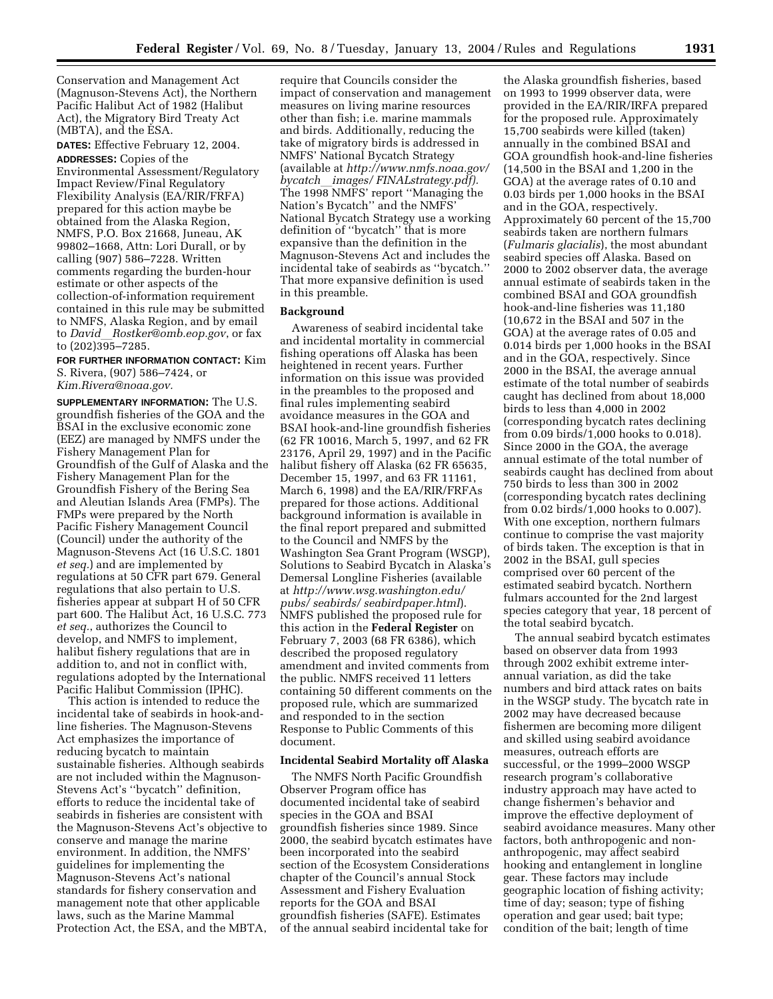Conservation and Management Act (Magnuson-Stevens Act), the Northern Pacific Halibut Act of 1982 (Halibut Act), the Migratory Bird Treaty Act (MBTA), and the ESA.

**DATES:** Effective February 12, 2004.

**ADDRESSES:** Copies of the Environmental Assessment/Regulatory Impact Review/Final Regulatory Flexibility Analysis (EA/RIR/FRFA) prepared for this action maybe be obtained from the Alaska Region, NMFS, P.O. Box 21668, Juneau, AK 99802–1668, Attn: Lori Durall, or by calling (907) 586–7228. Written comments regarding the burden-hour estimate or other aspects of the collection-of-information requirement contained in this rule may be submitted to NMFS, Alaska Region, and by email to *David*l*Rostker@omb.eop.gov*, or fax to (202)395–7285.

**FOR FURTHER INFORMATION CONTACT:** Kim S. Rivera, (907) 586–7424, or *Kim.Rivera@noaa.gov.*

**SUPPLEMENTARY INFORMATION:** The U.S. groundfish fisheries of the GOA and the BSAI in the exclusive economic zone (EEZ) are managed by NMFS under the Fishery Management Plan for Groundfish of the Gulf of Alaska and the Fishery Management Plan for the Groundfish Fishery of the Bering Sea and Aleutian Islands Area (FMPs). The FMPs were prepared by the North Pacific Fishery Management Council (Council) under the authority of the Magnuson-Stevens Act (16 U.S.C. 1801 *et seq.*) and are implemented by regulations at 50 CFR part 679. General regulations that also pertain to U.S. fisheries appear at subpart H of 50 CFR part 600. The Halibut Act, 16 U.S.C. 773 *et seq.*, authorizes the Council to develop, and NMFS to implement, halibut fishery regulations that are in addition to, and not in conflict with, regulations adopted by the International Pacific Halibut Commission (IPHC).

This action is intended to reduce the incidental take of seabirds in hook-andline fisheries. The Magnuson-Stevens Act emphasizes the importance of reducing bycatch to maintain sustainable fisheries. Although seabirds are not included within the Magnuson-Stevens Act's ''bycatch'' definition, efforts to reduce the incidental take of seabirds in fisheries are consistent with the Magnuson-Stevens Act's objective to conserve and manage the marine environment. In addition, the NMFS' guidelines for implementing the Magnuson-Stevens Act's national standards for fishery conservation and management note that other applicable laws, such as the Marine Mammal Protection Act, the ESA, and the MBTA,

require that Councils consider the impact of conservation and management measures on living marine resources other than fish; i.e. marine mammals and birds. Additionally, reducing the take of migratory birds is addressed in NMFS' National Bycatch Strategy (available at *http://www.nmfs.noaa.gov/ bycatch*l*images/ FINALstrategy.pdf).* The 1998 NMFS' report ''Managing the Nation's Bycatch'' and the NMFS' National Bycatch Strategy use a working definition of ''bycatch'' that is more expansive than the definition in the Magnuson-Stevens Act and includes the incidental take of seabirds as ''bycatch.'' That more expansive definition is used in this preamble.

## **Background**

Awareness of seabird incidental take and incidental mortality in commercial fishing operations off Alaska has been heightened in recent years. Further information on this issue was provided in the preambles to the proposed and final rules implementing seabird avoidance measures in the GOA and BSAI hook-and-line groundfish fisheries (62 FR 10016, March 5, 1997, and 62 FR 23176, April 29, 1997) and in the Pacific halibut fishery off Alaska (62 FR 65635, December 15, 1997, and 63 FR 11161, March 6, 1998) and the EA/RIR/FRFAs prepared for those actions. Additional background information is available in the final report prepared and submitted to the Council and NMFS by the Washington Sea Grant Program (WSGP), Solutions to Seabird Bycatch in Alaska's Demersal Longline Fisheries (available at *http://www.wsg.washington.edu/ pubs/ seabirds/ seabirdpaper.html*). NMFS published the proposed rule for this action in the **Federal Register** on February 7, 2003 (68 FR 6386), which described the proposed regulatory amendment and invited comments from the public. NMFS received 11 letters containing 50 different comments on the proposed rule, which are summarized and responded to in the section Response to Public Comments of this document.

## **Incidental Seabird Mortality off Alaska**

The NMFS North Pacific Groundfish Observer Program office has documented incidental take of seabird species in the GOA and BSAI groundfish fisheries since 1989. Since 2000, the seabird bycatch estimates have been incorporated into the seabird section of the Ecosystem Considerations chapter of the Council's annual Stock Assessment and Fishery Evaluation reports for the GOA and BSAI groundfish fisheries (SAFE). Estimates of the annual seabird incidental take for

the Alaska groundfish fisheries, based on 1993 to 1999 observer data, were provided in the EA/RIR/IRFA prepared for the proposed rule. Approximately 15,700 seabirds were killed (taken) annually in the combined BSAI and GOA groundfish hook-and-line fisheries (14,500 in the BSAI and 1,200 in the GOA) at the average rates of 0.10 and 0.03 birds per 1,000 hooks in the BSAI and in the GOA, respectively. Approximately 60 percent of the 15,700 seabirds taken are northern fulmars (*Fulmaris glacialis*), the most abundant seabird species off Alaska. Based on 2000 to 2002 observer data, the average annual estimate of seabirds taken in the combined BSAI and GOA groundfish hook-and-line fisheries was 11,180 (10,672 in the BSAI and 507 in the GOA) at the average rates of 0.05 and 0.014 birds per 1,000 hooks in the BSAI and in the GOA, respectively. Since 2000 in the BSAI, the average annual estimate of the total number of seabirds caught has declined from about 18,000 birds to less than 4,000 in 2002 (corresponding bycatch rates declining from 0.09 birds/1,000 hooks to 0.018). Since 2000 in the GOA, the average annual estimate of the total number of seabirds caught has declined from about 750 birds to less than 300 in 2002 (corresponding bycatch rates declining from 0.02 birds/1,000 hooks to 0.007). With one exception, northern fulmars continue to comprise the vast majority of birds taken. The exception is that in 2002 in the BSAI, gull species comprised over 60 percent of the estimated seabird bycatch. Northern fulmars accounted for the 2nd largest species category that year, 18 percent of the total seabird bycatch.

The annual seabird bycatch estimates based on observer data from 1993 through 2002 exhibit extreme interannual variation, as did the take numbers and bird attack rates on baits in the WSGP study. The bycatch rate in 2002 may have decreased because fishermen are becoming more diligent and skilled using seabird avoidance measures, outreach efforts are successful, or the 1999–2000 WSGP research program's collaborative industry approach may have acted to change fishermen's behavior and improve the effective deployment of seabird avoidance measures. Many other factors, both anthropogenic and nonanthropogenic, may affect seabird hooking and entanglement in longline gear. These factors may include geographic location of fishing activity; time of day; season; type of fishing operation and gear used; bait type; condition of the bait; length of time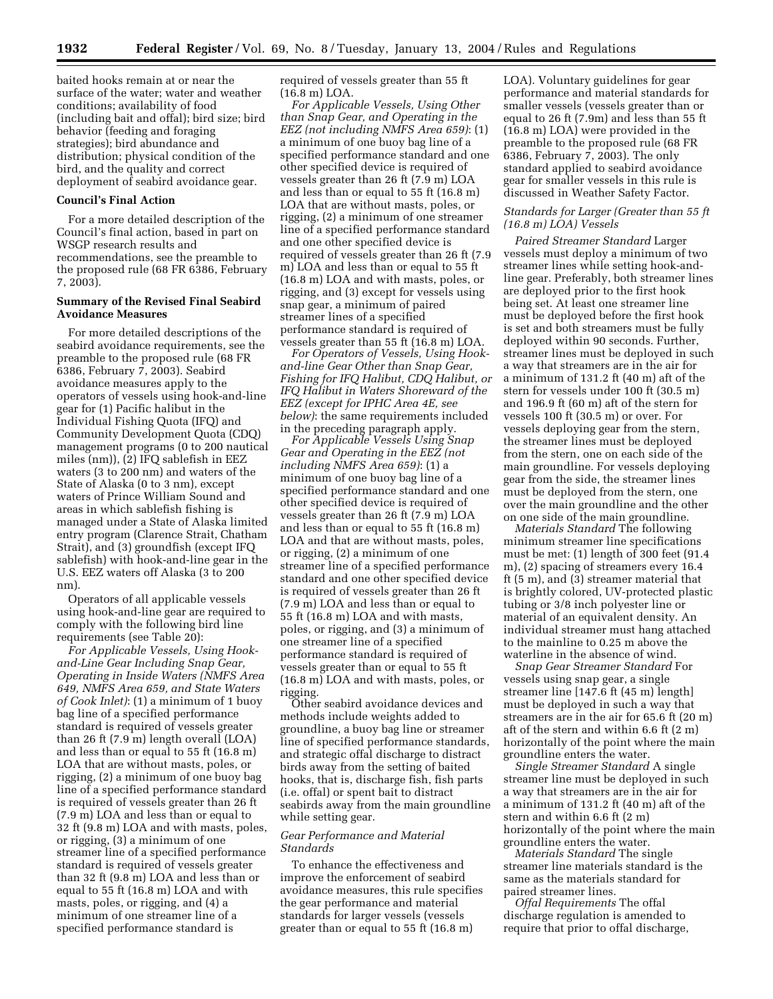baited hooks remain at or near the surface of the water; water and weather conditions; availability of food (including bait and offal); bird size; bird behavior (feeding and foraging strategies); bird abundance and distribution; physical condition of the bird, and the quality and correct deployment of seabird avoidance gear.

### **Council's Final Action**

For a more detailed description of the Council's final action, based in part on WSGP research results and recommendations, see the preamble to the proposed rule (68 FR 6386, February 7, 2003).

## **Summary of the Revised Final Seabird Avoidance Measures**

For more detailed descriptions of the seabird avoidance requirements, see the preamble to the proposed rule (68 FR 6386, February 7, 2003). Seabird avoidance measures apply to the operators of vessels using hook-and-line gear for (1) Pacific halibut in the Individual Fishing Quota (IFQ) and Community Development Quota (CDQ) management programs (0 to 200 nautical miles (nm)), (2) IFQ sablefish in EEZ waters (3 to 200 nm) and waters of the State of Alaska (0 to 3 nm), except waters of Prince William Sound and areas in which sablefish fishing is managed under a State of Alaska limited entry program (Clarence Strait, Chatham Strait), and (3) groundfish (except IFQ sablefish) with hook-and-line gear in the U.S. EEZ waters off Alaska (3 to 200 nm).

Operators of all applicable vessels using hook-and-line gear are required to comply with the following bird line requirements (see Table 20):

*For Applicable Vessels, Using Hookand-Line Gear Including Snap Gear, Operating in Inside Waters (NMFS Area 649, NMFS Area 659, and State Waters of Cook Inlet)*: (1) a minimum of 1 buoy bag line of a specified performance standard is required of vessels greater than 26 ft (7.9 m) length overall (LOA) and less than or equal to 55 ft (16.8 m) LOA that are without masts, poles, or rigging, (2) a minimum of one buoy bag line of a specified performance standard is required of vessels greater than 26 ft (7.9 m) LOA and less than or equal to 32 ft (9.8 m) LOA and with masts, poles, or rigging, (3) a minimum of one streamer line of a specified performance standard is required of vessels greater than 32 ft (9.8 m) LOA and less than or equal to 55 ft (16.8 m) LOA and with masts, poles, or rigging, and (4) a minimum of one streamer line of a specified performance standard is

required of vessels greater than 55 ft (16.8 m) LOA.

*For Applicable Vessels, Using Other than Snap Gear, and Operating in the EEZ (not including NMFS Area 659)*: (1) a minimum of one buoy bag line of a specified performance standard and one other specified device is required of vessels greater than 26 ft (7.9 m) LOA and less than or equal to 55 ft (16.8 m) LOA that are without masts, poles, or rigging, (2) a minimum of one streamer line of a specified performance standard and one other specified device is required of vessels greater than 26 ft (7.9 m) LOA and less than or equal to 55 ft (16.8 m) LOA and with masts, poles, or rigging, and (3) except for vessels using snap gear, a minimum of paired streamer lines of a specified performance standard is required of vessels greater than 55 ft (16.8 m) LOA.

*For Operators of Vessels, Using Hookand-line Gear Other than Snap Gear, Fishing for IFQ Halibut, CDQ Halibut, or IFQ Halibut in Waters Shoreward of the EEZ (except for IPHC Area 4E, see below)*: the same requirements included in the preceding paragraph apply.

*For Applicable Vessels Using Snap Gear and Operating in the EEZ (not including NMFS Area 659)*: (1) a minimum of one buoy bag line of a specified performance standard and one other specified device is required of vessels greater than 26 ft (7.9 m) LOA and less than or equal to 55 ft (16.8 m) LOA and that are without masts, poles, or rigging, (2) a minimum of one streamer line of a specified performance standard and one other specified device is required of vessels greater than 26 ft (7.9 m) LOA and less than or equal to 55 ft (16.8 m) LOA and with masts, poles, or rigging, and (3) a minimum of one streamer line of a specified performance standard is required of vessels greater than or equal to 55 ft (16.8 m) LOA and with masts, poles, or rigging.

Other seabird avoidance devices and methods include weights added to groundline, a buoy bag line or streamer line of specified performance standards, and strategic offal discharge to distract birds away from the setting of baited hooks, that is, discharge fish, fish parts (i.e. offal) or spent bait to distract seabirds away from the main groundline while setting gear.

## *Gear Performance and Material Standards*

To enhance the effectiveness and improve the enforcement of seabird avoidance measures, this rule specifies the gear performance and material standards for larger vessels (vessels greater than or equal to 55 ft (16.8 m)

LOA). Voluntary guidelines for gear performance and material standards for smaller vessels (vessels greater than or equal to 26 ft (7.9m) and less than 55 ft (16.8 m) LOA) were provided in the preamble to the proposed rule (68 FR 6386, February 7, 2003). The only standard applied to seabird avoidance gear for smaller vessels in this rule is discussed in Weather Safety Factor.

## *Standards for Larger (Greater than 55 ft (16.8 m) LOA) Vessels*

*Paired Streamer Standard* Larger vessels must deploy a minimum of two streamer lines while setting hook-andline gear. Preferably, both streamer lines are deployed prior to the first hook being set. At least one streamer line must be deployed before the first hook is set and both streamers must be fully deployed within 90 seconds. Further, streamer lines must be deployed in such a way that streamers are in the air for a minimum of 131.2 ft (40 m) aft of the stern for vessels under 100 ft (30.5 m) and 196.9 ft (60 m) aft of the stern for vessels 100 ft (30.5 m) or over. For vessels deploying gear from the stern, the streamer lines must be deployed from the stern, one on each side of the main groundline. For vessels deploying gear from the side, the streamer lines must be deployed from the stern, one over the main groundline and the other on one side of the main groundline.

*Materials Standard* The following minimum streamer line specifications must be met: (1) length of 300 feet (91.4 m), (2) spacing of streamers every 16.4 ft (5 m), and (3) streamer material that is brightly colored, UV-protected plastic tubing or 3/8 inch polyester line or material of an equivalent density. An individual streamer must hang attached to the mainline to 0.25 m above the waterline in the absence of wind.

*Snap Gear Streamer Standard* For vessels using snap gear, a single streamer line [147.6 ft (45 m) length] must be deployed in such a way that streamers are in the air for 65.6 ft (20 m) aft of the stern and within 6.6 ft (2 m) horizontally of the point where the main groundline enters the water.

*Single Streamer Standard* A single streamer line must be deployed in such a way that streamers are in the air for a minimum of 131.2 ft (40 m) aft of the stern and within 6.6 ft (2 m) horizontally of the point where the main groundline enters the water.

*Materials Standard* The single streamer line materials standard is the same as the materials standard for paired streamer lines.

*Offal Requirements* The offal discharge regulation is amended to require that prior to offal discharge,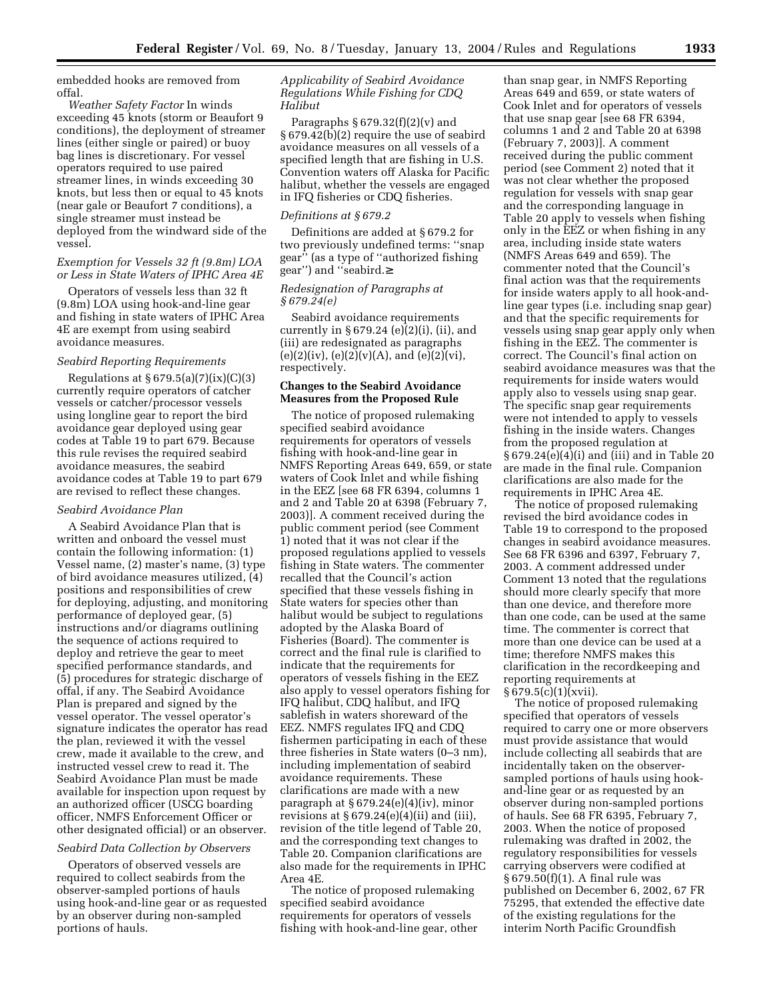embedded hooks are removed from offal.

*Weather Safety Factor* In winds exceeding 45 knots (storm or Beaufort 9 conditions), the deployment of streamer lines (either single or paired) or buoy bag lines is discretionary. For vessel operators required to use paired streamer lines, in winds exceeding 30 knots, but less then or equal to 45 knots (near gale or Beaufort 7 conditions), a single streamer must instead be deployed from the windward side of the vessel.

## *Exemption for Vessels 32 ft (9.8m) LOA or Less in State Waters of IPHC Area 4E*

Operators of vessels less than 32 ft (9.8m) LOA using hook-and-line gear and fishing in state waters of IPHC Area 4E are exempt from using seabird avoidance measures.

#### *Seabird Reporting Requirements*

Regulations at  $\S 679.5(a)(7)(ix)(C)(3)$ currently require operators of catcher vessels or catcher/processor vessels using longline gear to report the bird avoidance gear deployed using gear codes at Table 19 to part 679. Because this rule revises the required seabird avoidance measures, the seabird avoidance codes at Table 19 to part 679 are revised to reflect these changes.

#### *Seabird Avoidance Plan*

A Seabird Avoidance Plan that is written and onboard the vessel must contain the following information: (1) Vessel name, (2) master's name, (3) type of bird avoidance measures utilized, (4) positions and responsibilities of crew for deploying, adjusting, and monitoring performance of deployed gear, (5) instructions and/or diagrams outlining the sequence of actions required to deploy and retrieve the gear to meet specified performance standards, and (5) procedures for strategic discharge of offal, if any. The Seabird Avoidance Plan is prepared and signed by the vessel operator. The vessel operator's signature indicates the operator has read the plan, reviewed it with the vessel crew, made it available to the crew, and instructed vessel crew to read it. The Seabird Avoidance Plan must be made available for inspection upon request by an authorized officer (USCG boarding officer, NMFS Enforcement Officer or other designated official) or an observer.

#### *Seabird Data Collection by Observers*

Operators of observed vessels are required to collect seabirds from the observer-sampled portions of hauls using hook-and-line gear or as requested by an observer during non-sampled portions of hauls.

## *Applicability of Seabird Avoidance Regulations While Fishing for CDQ Halibut*

Paragraphs  $§ 679.32(f)(2)(v)$  and § 679.42(b)(2) require the use of seabird avoidance measures on all vessels of a specified length that are fishing in U.S. Convention waters off Alaska for Pacific halibut, whether the vessels are engaged in IFQ fisheries or CDQ fisheries.

## *Definitions at § 679.2*

Definitions are added at § 679.2 for two previously undefined terms: ''snap gear'' (as a type of ''authorized fishing gear'') and ''seabird.≥

## *Redesignation of Paragraphs at § 679.24(e)*

Seabird avoidance requirements currently in  $\S 679.24$  (e)(2)(i), (ii), and (iii) are redesignated as paragraphs  $(e)(2)(iv)$ ,  $(e)(2)(v)(A)$ , and  $(e)(2)(vi)$ , respectively.

# **Changes to the Seabird Avoidance Measures from the Proposed Rule**

The notice of proposed rulemaking specified seabird avoidance requirements for operators of vessels fishing with hook-and-line gear in NMFS Reporting Areas 649, 659, or state waters of Cook Inlet and while fishing in the EEZ [see 68 FR 6394, columns 1 and 2 and Table 20 at 6398 (February 7, 2003)]. A comment received during the public comment period (see Comment 1) noted that it was not clear if the proposed regulations applied to vessels fishing in State waters. The commenter recalled that the Council's action specified that these vessels fishing in State waters for species other than halibut would be subject to regulations adopted by the Alaska Board of Fisheries (Board). The commenter is correct and the final rule is clarified to indicate that the requirements for operators of vessels fishing in the EEZ also apply to vessel operators fishing for IFQ halibut, CDQ halibut, and IFQ sablefish in waters shoreward of the EEZ. NMFS regulates IFQ and CDQ fishermen participating in each of these three fisheries in State waters (0–3 nm), including implementation of seabird avoidance requirements. These clarifications are made with a new paragraph at § 679.24(e)(4)(iv), minor revisions at  $\S 679.24(e)(4)(ii)$  and (iii), revision of the title legend of Table 20, and the corresponding text changes to Table 20. Companion clarifications are also made for the requirements in IPHC Area 4E.

The notice of proposed rulemaking specified seabird avoidance requirements for operators of vessels fishing with hook-and-line gear, other

than snap gear, in NMFS Reporting Areas 649 and 659, or state waters of Cook Inlet and for operators of vessels that use snap gear [see 68 FR 6394, columns 1 and 2 and Table 20 at 6398 (February 7, 2003)]. A comment received during the public comment period (see Comment 2) noted that it was not clear whether the proposed regulation for vessels with snap gear and the corresponding language in Table 20 apply to vessels when fishing only in the EEZ or when fishing in any area, including inside state waters (NMFS Areas 649 and 659). The commenter noted that the Council's final action was that the requirements for inside waters apply to all hook-andline gear types (i.e. including snap gear) and that the specific requirements for vessels using snap gear apply only when fishing in the EEZ. The commenter is correct. The Council's final action on seabird avoidance measures was that the requirements for inside waters would apply also to vessels using snap gear. The specific snap gear requirements were not intended to apply to vessels fishing in the inside waters. Changes from the proposed regulation at § 679.24(e)(4)(i) and (iii) and in Table 20 are made in the final rule. Companion clarifications are also made for the requirements in IPHC Area 4E.

The notice of proposed rulemaking revised the bird avoidance codes in Table 19 to correspond to the proposed changes in seabird avoidance measures. See 68 FR 6396 and 6397, February 7, 2003. A comment addressed under Comment 13 noted that the regulations should more clearly specify that more than one device, and therefore more than one code, can be used at the same time. The commenter is correct that more than one device can be used at a time; therefore NMFS makes this clarification in the recordkeeping and reporting requirements at  $§ 679.5(c)(1)(xvii).$ 

The notice of proposed rulemaking specified that operators of vessels required to carry one or more observers must provide assistance that would include collecting all seabirds that are incidentally taken on the observersampled portions of hauls using hookand-line gear or as requested by an observer during non-sampled portions of hauls. See 68 FR 6395, February 7, 2003. When the notice of proposed rulemaking was drafted in 2002, the regulatory responsibilities for vessels carrying observers were codified at § 679.50(f)(1). A final rule was published on December 6, 2002, 67 FR 75295, that extended the effective date of the existing regulations for the interim North Pacific Groundfish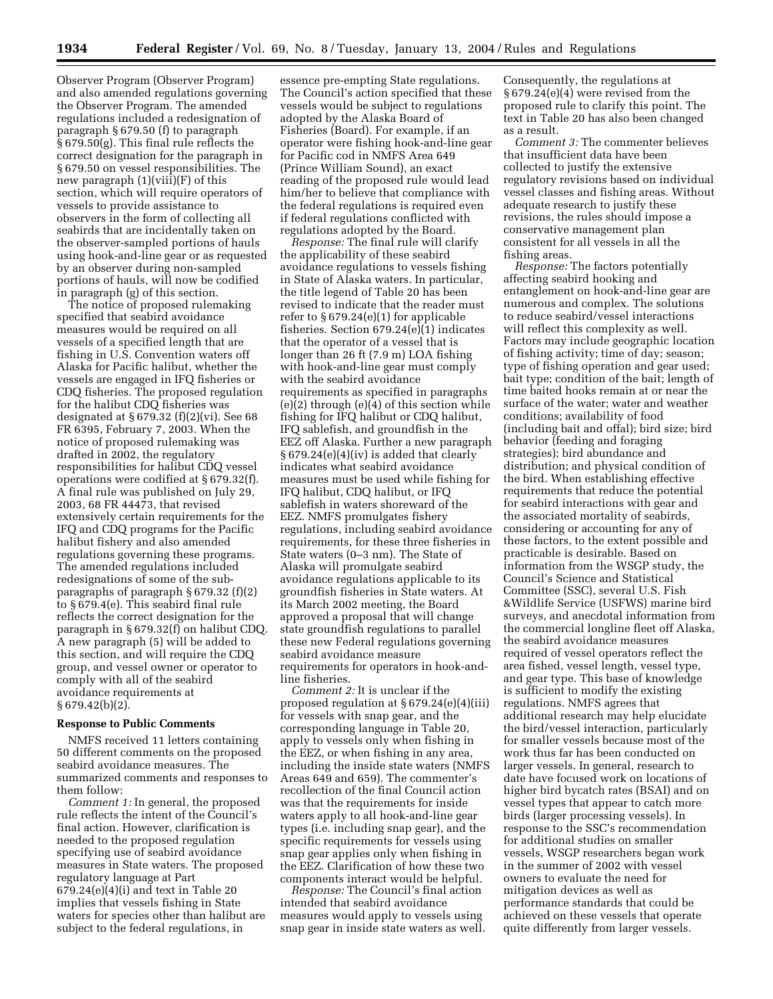Observer Program (Observer Program) and also amended regulations governing the Observer Program. The amended regulations included a redesignation of paragraph § 679.50 (f) to paragraph § 679.50(g). This final rule reflects the correct designation for the paragraph in § 679.50 on vessel responsibilities. The new paragraph (1)(viii)(F) of this section, which will require operators of vessels to provide assistance to observers in the form of collecting all seabirds that are incidentally taken on the observer-sampled portions of hauls using hook-and-line gear or as requested by an observer during non-sampled portions of hauls, will now be codified in paragraph (g) of this section.

The notice of proposed rulemaking specified that seabird avoidance measures would be required on all vessels of a specified length that are fishing in U.S. Convention waters off Alaska for Pacific halibut, whether the vessels are engaged in IFQ fisheries or CDQ fisheries. The proposed regulation for the halibut CDQ fisheries was designated at § 679.32 (f)(2)(vi). See 68 FR 6395, February 7, 2003. When the notice of proposed rulemaking was drafted in 2002, the regulatory responsibilities for halibut CDQ vessel operations were codified at § 679.32(f). A final rule was published on July 29, 2003, 68 FR 44473, that revised extensively certain requirements for the IFQ and CDQ programs for the Pacific halibut fishery and also amended regulations governing these programs. The amended regulations included redesignations of some of the subparagraphs of paragraph § 679.32 (f)(2) to § 679.4(e). This seabird final rule reflects the correct designation for the paragraph in § 679.32(f) on halibut CDQ. A new paragraph (5) will be added to this section, and will require the CDQ group, and vessel owner or operator to comply with all of the seabird avoidance requirements at § 679.42(b)(2).

#### **Response to Public Comments**

NMFS received 11 letters containing 50 different comments on the proposed seabird avoidance measures. The summarized comments and responses to them follow:

*Comment 1:* In general, the proposed rule reflects the intent of the Council's final action. However, clarification is needed to the proposed regulation specifying use of seabird avoidance measures in State waters. The proposed regulatory language at Part 679.24(e)(4)(i) and text in Table 20 implies that vessels fishing in State waters for species other than halibut are subject to the federal regulations, in

essence pre-empting State regulations. The Council's action specified that these vessels would be subject to regulations adopted by the Alaska Board of Fisheries (Board). For example, if an operator were fishing hook-and-line gear for Pacific cod in NMFS Area 649 (Prince William Sound), an exact reading of the proposed rule would lead him/her to believe that compliance with the federal regulations is required even if federal regulations conflicted with regulations adopted by the Board.

*Response:* The final rule will clarify the applicability of these seabird avoidance regulations to vessels fishing in State of Alaska waters. In particular, the title legend of Table 20 has been revised to indicate that the reader must refer to  $\S 679.24(e)(1)$  for applicable fisheries. Section 679.24(e)(1) indicates that the operator of a vessel that is longer than 26 ft (7.9 m) LOA fishing with hook-and-line gear must comply with the seabird avoidance requirements as specified in paragraphs (e)(2) through (e)(4) of this section while fishing for IFQ halibut or CDQ halibut, IFQ sablefish, and groundfish in the EEZ off Alaska. Further a new paragraph § 679.24(e)(4)(iv) is added that clearly indicates what seabird avoidance measures must be used while fishing for IFQ halibut, CDQ halibut, or IFQ sablefish in waters shoreward of the EEZ. NMFS promulgates fishery regulations, including seabird avoidance requirements, for these three fisheries in State waters (0–3 nm). The State of Alaska will promulgate seabird avoidance regulations applicable to its groundfish fisheries in State waters. At its March 2002 meeting, the Board approved a proposal that will change state groundfish regulations to parallel these new Federal regulations governing seabird avoidance measure requirements for operators in hook-andline fisheries.

*Comment 2:* It is unclear if the proposed regulation at § 679.24(e)(4)(iii) for vessels with snap gear, and the corresponding language in Table 20, apply to vessels only when fishing in the EEZ, or when fishing in any area, including the inside state waters (NMFS Areas 649 and 659). The commenter's recollection of the final Council action was that the requirements for inside waters apply to all hook-and-line gear types (i.e. including snap gear), and the specific requirements for vessels using snap gear applies only when fishing in the EEZ. Clarification of how these two components interact would be helpful.

*Response:* The Council's final action intended that seabird avoidance measures would apply to vessels using snap gear in inside state waters as well. Consequently, the regulations at § 679.24(e)(4) were revised from the proposed rule to clarify this point. The text in Table 20 has also been changed as a result.

*Comment 3:* The commenter believes that insufficient data have been collected to justify the extensive regulatory revisions based on individual vessel classes and fishing areas. Without adequate research to justify these revisions, the rules should impose a conservative management plan consistent for all vessels in all the fishing areas.

*Response:* The factors potentially affecting seabird hooking and entanglement on hook-and-line gear are numerous and complex. The solutions to reduce seabird/vessel interactions will reflect this complexity as well. Factors may include geographic location of fishing activity; time of day; season; type of fishing operation and gear used; bait type; condition of the bait; length of time baited hooks remain at or near the surface of the water; water and weather conditions; availability of food (including bait and offal); bird size; bird behavior (feeding and foraging strategies); bird abundance and distribution; and physical condition of the bird. When establishing effective requirements that reduce the potential for seabird interactions with gear and the associated mortality of seabirds, considering or accounting for any of these factors, to the extent possible and practicable is desirable. Based on information from the WSGP study, the Council's Science and Statistical Committee (SSC), several U.S. Fish &Wildlife Service (USFWS) marine bird surveys, and anecdotal information from the commercial longline fleet off Alaska, the seabird avoidance measures required of vessel operators reflect the area fished, vessel length, vessel type, and gear type. This base of knowledge is sufficient to modify the existing regulations. NMFS agrees that additional research may help elucidate the bird/vessel interaction, particularly for smaller vessels because most of the work thus far has been conducted on larger vessels. In general, research to date have focused work on locations of higher bird bycatch rates (BSAI) and on vessel types that appear to catch more birds (larger processing vessels). In response to the SSC's recommendation for additional studies on smaller vessels, WSGP researchers began work in the summer of 2002 with vessel owners to evaluate the need for mitigation devices as well as performance standards that could be achieved on these vessels that operate quite differently from larger vessels.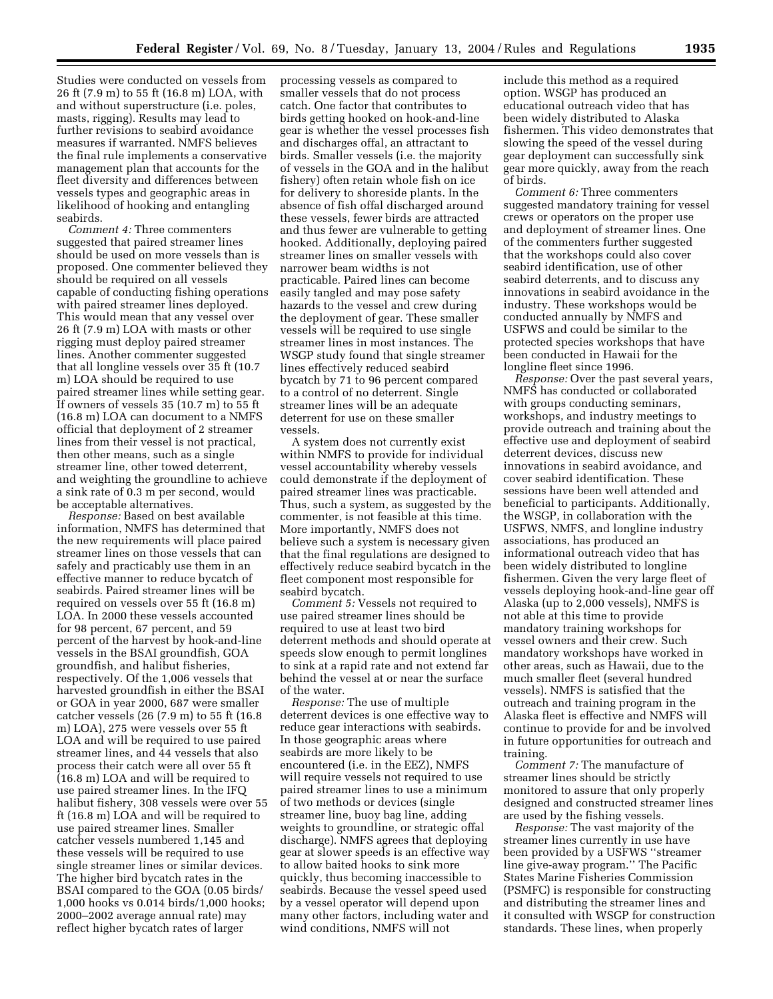Studies were conducted on vessels from 26 ft (7.9 m) to 55 ft (16.8 m) LOA, with and without superstructure (i.e. poles, masts, rigging). Results may lead to further revisions to seabird avoidance measures if warranted. NMFS believes the final rule implements a conservative management plan that accounts for the fleet diversity and differences between vessels types and geographic areas in likelihood of hooking and entangling seabirds.

*Comment 4:* Three commenters suggested that paired streamer lines should be used on more vessels than is proposed. One commenter believed they should be required on all vessels capable of conducting fishing operations with paired streamer lines deployed. This would mean that any vessel over 26 ft (7.9 m) LOA with masts or other rigging must deploy paired streamer lines. Another commenter suggested that all longline vessels over 35 ft (10.7 m) LOA should be required to use paired streamer lines while setting gear. If owners of vessels 35 (10.7 m) to 55 ft (16.8 m) LOA can document to a NMFS official that deployment of 2 streamer lines from their vessel is not practical, then other means, such as a single streamer line, other towed deterrent, and weighting the groundline to achieve a sink rate of 0.3 m per second, would be acceptable alternatives.

*Response:* Based on best available information, NMFS has determined that the new requirements will place paired streamer lines on those vessels that can safely and practicably use them in an effective manner to reduce bycatch of seabirds. Paired streamer lines will be required on vessels over 55 ft (16.8 m) LOA. In 2000 these vessels accounted for 98 percent, 67 percent, and 59 percent of the harvest by hook-and-line vessels in the BSAI groundfish, GOA groundfish, and halibut fisheries, respectively. Of the 1,006 vessels that harvested groundfish in either the BSAI or GOA in year 2000, 687 were smaller catcher vessels (26 (7.9 m) to 55 ft (16.8 m) LOA), 275 were vessels over 55 ft LOA and will be required to use paired streamer lines, and 44 vessels that also process their catch were all over 55 ft (16.8 m) LOA and will be required to use paired streamer lines. In the IFQ halibut fishery, 308 vessels were over 55 ft (16.8 m) LOA and will be required to use paired streamer lines. Smaller catcher vessels numbered 1,145 and these vessels will be required to use single streamer lines or similar devices. The higher bird bycatch rates in the BSAI compared to the GOA (0.05 birds/ 1,000 hooks vs 0.014 birds/1,000 hooks; 2000–2002 average annual rate) may reflect higher bycatch rates of larger

processing vessels as compared to smaller vessels that do not process catch. One factor that contributes to birds getting hooked on hook-and-line gear is whether the vessel processes fish and discharges offal, an attractant to birds. Smaller vessels (i.e. the majority of vessels in the GOA and in the halibut fishery) often retain whole fish on ice for delivery to shoreside plants. In the absence of fish offal discharged around these vessels, fewer birds are attracted and thus fewer are vulnerable to getting hooked. Additionally, deploying paired streamer lines on smaller vessels with narrower beam widths is not practicable. Paired lines can become easily tangled and may pose safety hazards to the vessel and crew during the deployment of gear. These smaller vessels will be required to use single streamer lines in most instances. The WSGP study found that single streamer lines effectively reduced seabird bycatch by 71 to 96 percent compared to a control of no deterrent. Single streamer lines will be an adequate deterrent for use on these smaller vessels.

A system does not currently exist within NMFS to provide for individual vessel accountability whereby vessels could demonstrate if the deployment of paired streamer lines was practicable. Thus, such a system, as suggested by the commenter, is not feasible at this time. More importantly, NMFS does not believe such a system is necessary given that the final regulations are designed to effectively reduce seabird bycatch in the fleet component most responsible for seabird bycatch.

*Comment 5:* Vessels not required to use paired streamer lines should be required to use at least two bird deterrent methods and should operate at speeds slow enough to permit longlines to sink at a rapid rate and not extend far behind the vessel at or near the surface of the water.

*Response:* The use of multiple deterrent devices is one effective way to reduce gear interactions with seabirds. In those geographic areas where seabirds are more likely to be encountered (i.e. in the EEZ), NMFS will require vessels not required to use paired streamer lines to use a minimum of two methods or devices (single streamer line, buoy bag line, adding weights to groundline, or strategic offal discharge). NMFS agrees that deploying gear at slower speeds is an effective way to allow baited hooks to sink more quickly, thus becoming inaccessible to seabirds. Because the vessel speed used by a vessel operator will depend upon many other factors, including water and wind conditions, NMFS will not

include this method as a required option. WSGP has produced an educational outreach video that has been widely distributed to Alaska fishermen. This video demonstrates that slowing the speed of the vessel during gear deployment can successfully sink gear more quickly, away from the reach of birds.

*Comment 6:* Three commenters suggested mandatory training for vessel crews or operators on the proper use and deployment of streamer lines. One of the commenters further suggested that the workshops could also cover seabird identification, use of other seabird deterrents, and to discuss any innovations in seabird avoidance in the industry. These workshops would be conducted annually by NMFS and USFWS and could be similar to the protected species workshops that have been conducted in Hawaii for the longline fleet since 1996.

*Response:* Over the past several years, NMFS has conducted or collaborated with groups conducting seminars, workshops, and industry meetings to provide outreach and training about the effective use and deployment of seabird deterrent devices, discuss new innovations in seabird avoidance, and cover seabird identification. These sessions have been well attended and beneficial to participants. Additionally, the WSGP, in collaboration with the USFWS, NMFS, and longline industry associations, has produced an informational outreach video that has been widely distributed to longline fishermen. Given the very large fleet of vessels deploying hook-and-line gear off Alaska (up to 2,000 vessels), NMFS is not able at this time to provide mandatory training workshops for vessel owners and their crew. Such mandatory workshops have worked in other areas, such as Hawaii, due to the much smaller fleet (several hundred vessels). NMFS is satisfied that the outreach and training program in the Alaska fleet is effective and NMFS will continue to provide for and be involved in future opportunities for outreach and training.

*Comment 7:* The manufacture of streamer lines should be strictly monitored to assure that only properly designed and constructed streamer lines are used by the fishing vessels.

*Response:* The vast majority of the streamer lines currently in use have been provided by a USFWS ''streamer line give-away program.'' The Pacific States Marine Fisheries Commission (PSMFC) is responsible for constructing and distributing the streamer lines and it consulted with WSGP for construction standards. These lines, when properly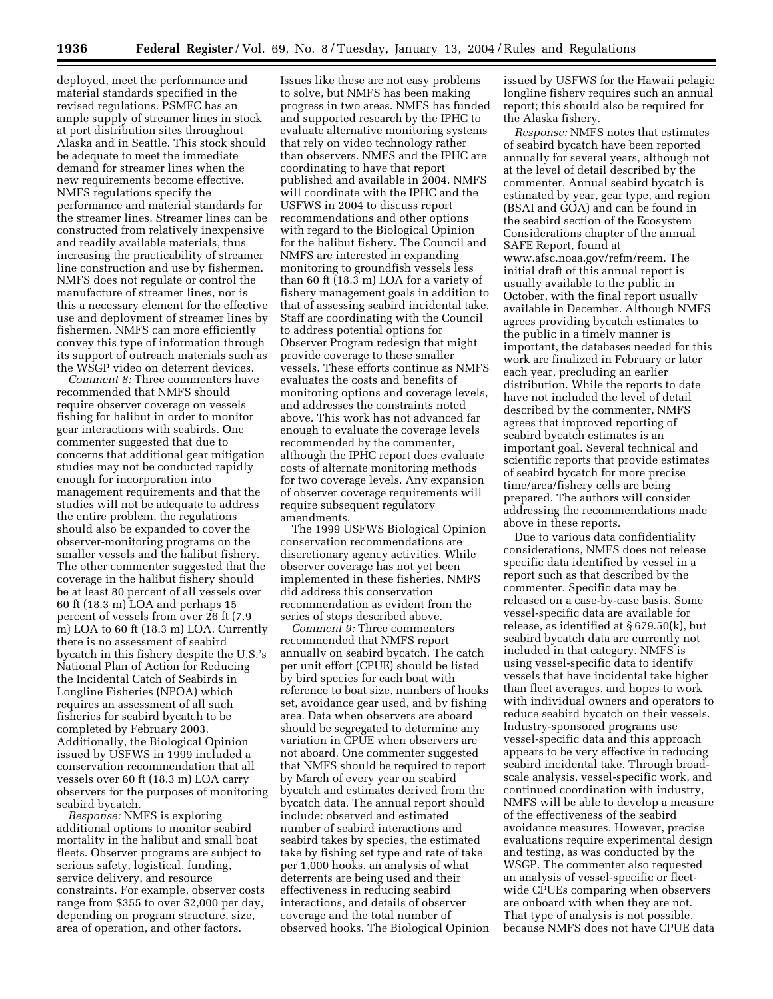deployed, meet the performance and material standards specified in the revised regulations. PSMFC has an ample supply of streamer lines in stock at port distribution sites throughout Alaska and in Seattle. This stock should be adequate to meet the immediate demand for streamer lines when the new requirements become effective. NMFS regulations specify the performance and material standards for the streamer lines. Streamer lines can be constructed from relatively inexpensive and readily available materials, thus increasing the practicability of streamer line construction and use by fishermen. NMFS does not regulate or control the manufacture of streamer lines, nor is this a necessary element for the effective use and deployment of streamer lines by fishermen. NMFS can more efficiently convey this type of information through its support of outreach materials such as the WSGP video on deterrent devices.

*Comment 8:* Three commenters have recommended that NMFS should require observer coverage on vessels fishing for halibut in order to monitor gear interactions with seabirds. One commenter suggested that due to concerns that additional gear mitigation studies may not be conducted rapidly enough for incorporation into management requirements and that the studies will not be adequate to address the entire problem, the regulations should also be expanded to cover the observer-monitoring programs on the smaller vessels and the halibut fishery. The other commenter suggested that the coverage in the halibut fishery should be at least 80 percent of all vessels over 60 ft (18.3 m) LOA and perhaps 15 percent of vessels from over 26 ft (7.9 m) LOA to 60 ft (18.3 m) LOA. Currently there is no assessment of seabird bycatch in this fishery despite the U.S.'s National Plan of Action for Reducing the Incidental Catch of Seabirds in Longline Fisheries (NPOA) which requires an assessment of all such fisheries for seabird bycatch to be completed by February 2003. Additionally, the Biological Opinion issued by USFWS in 1999 included a conservation recommendation that all vessels over 60 ft (18.3 m) LOA carry observers for the purposes of monitoring seabird bycatch.

*Response:* NMFS is exploring additional options to monitor seabird mortality in the halibut and small boat fleets. Observer programs are subject to serious safety, logistical, funding, service delivery, and resource constraints. For example, observer costs range from \$355 to over \$2,000 per day, depending on program structure, size, area of operation, and other factors.

Issues like these are not easy problems to solve, but NMFS has been making progress in two areas. NMFS has funded and supported research by the IPHC to evaluate alternative monitoring systems that rely on video technology rather than observers. NMFS and the IPHC are coordinating to have that report published and available in 2004. NMFS will coordinate with the IPHC and the USFWS in 2004 to discuss report recommendations and other options with regard to the Biological Opinion for the halibut fishery. The Council and NMFS are interested in expanding monitoring to groundfish vessels less than 60 ft (18.3 m) LOA for a variety of fishery management goals in addition to that of assessing seabird incidental take. Staff are coordinating with the Council to address potential options for Observer Program redesign that might provide coverage to these smaller vessels. These efforts continue as NMFS evaluates the costs and benefits of monitoring options and coverage levels, and addresses the constraints noted above. This work has not advanced far enough to evaluate the coverage levels recommended by the commenter, although the IPHC report does evaluate costs of alternate monitoring methods for two coverage levels. Any expansion of observer coverage requirements will require subsequent regulatory amendments.

The 1999 USFWS Biological Opinion conservation recommendations are discretionary agency activities. While observer coverage has not yet been implemented in these fisheries, NMFS did address this conservation recommendation as evident from the series of steps described above.

*Comment 9:* Three commenters recommended that NMFS report annually on seabird bycatch. The catch per unit effort (CPUE) should be listed by bird species for each boat with reference to boat size, numbers of hooks set, avoidance gear used, and by fishing area. Data when observers are aboard should be segregated to determine any variation in CPUE when observers are not aboard. One commenter suggested that NMFS should be required to report by March of every year on seabird bycatch and estimates derived from the bycatch data. The annual report should include: observed and estimated number of seabird interactions and seabird takes by species, the estimated take by fishing set type and rate of take per 1,000 hooks, an analysis of what deterrents are being used and their effectiveness in reducing seabird interactions, and details of observer coverage and the total number of observed hooks. The Biological Opinion

issued by USFWS for the Hawaii pelagic longline fishery requires such an annual report; this should also be required for the Alaska fishery.

*Response:* NMFS notes that estimates of seabird bycatch have been reported annually for several years, although not at the level of detail described by the commenter. Annual seabird bycatch is estimated by year, gear type, and region (BSAI and GOA) and can be found in the seabird section of the Ecosystem Considerations chapter of the annual SAFE Report, found at www.afsc.noaa.gov/refm/reem. The initial draft of this annual report is usually available to the public in October, with the final report usually available in December. Although NMFS agrees providing bycatch estimates to the public in a timely manner is important, the databases needed for this work are finalized in February or later each year, precluding an earlier distribution. While the reports to date have not included the level of detail described by the commenter, NMFS agrees that improved reporting of seabird bycatch estimates is an important goal. Several technical and scientific reports that provide estimates of seabird bycatch for more precise time/area/fishery cells are being prepared. The authors will consider addressing the recommendations made above in these reports.

Due to various data confidentiality considerations, NMFS does not release specific data identified by vessel in a report such as that described by the commenter. Specific data may be released on a case-by-case basis. Some vessel-specific data are available for release, as identified at § 679.50(k), but seabird bycatch data are currently not included in that category. NMFS is using vessel-specific data to identify vessels that have incidental take higher than fleet averages, and hopes to work with individual owners and operators to reduce seabird bycatch on their vessels. Industry-sponsored programs use vessel-specific data and this approach appears to be very effective in reducing seabird incidental take. Through broadscale analysis, vessel-specific work, and continued coordination with industry, NMFS will be able to develop a measure of the effectiveness of the seabird avoidance measures. However, precise evaluations require experimental design and testing, as was conducted by the WSGP. The commenter also requested an analysis of vessel-specific or fleetwide CPUEs comparing when observers are onboard with when they are not. That type of analysis is not possible, because NMFS does not have CPUE data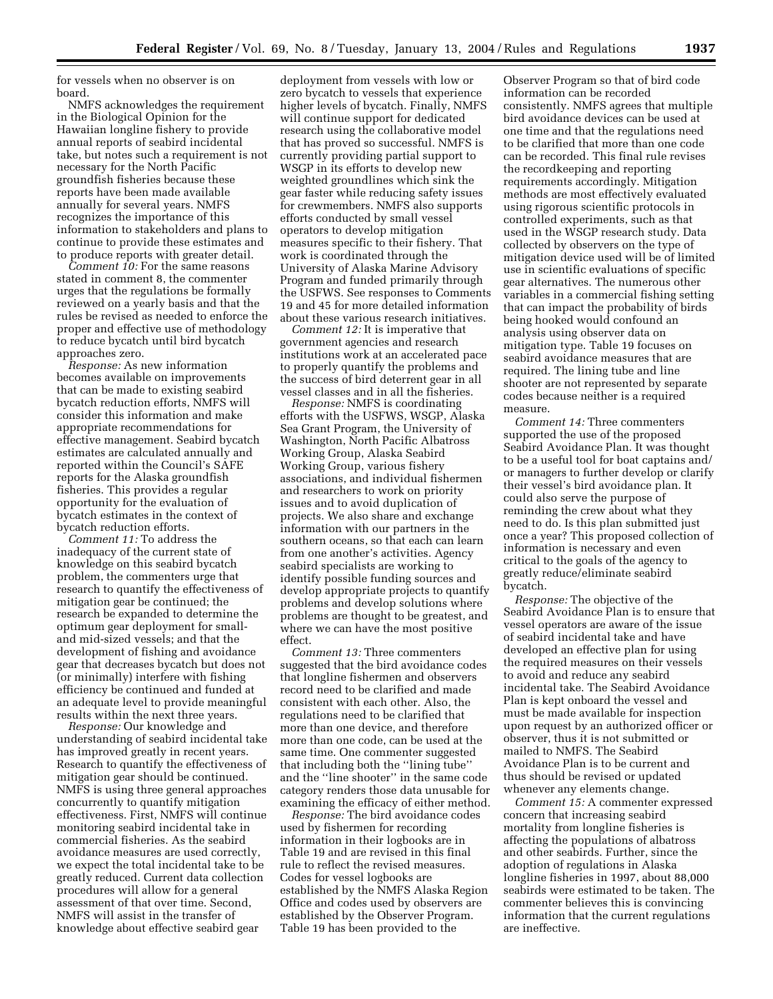for vessels when no observer is on board.

NMFS acknowledges the requirement in the Biological Opinion for the Hawaiian longline fishery to provide annual reports of seabird incidental take, but notes such a requirement is not necessary for the North Pacific groundfish fisheries because these reports have been made available annually for several years. NMFS recognizes the importance of this information to stakeholders and plans to continue to provide these estimates and to produce reports with greater detail.

*Comment 10:* For the same reasons stated in comment 8, the commenter urges that the regulations be formally reviewed on a yearly basis and that the rules be revised as needed to enforce the proper and effective use of methodology to reduce bycatch until bird bycatch approaches zero.

*Response:* As new information becomes available on improvements that can be made to existing seabird bycatch reduction efforts, NMFS will consider this information and make appropriate recommendations for effective management. Seabird bycatch estimates are calculated annually and reported within the Council's SAFE reports for the Alaska groundfish fisheries. This provides a regular opportunity for the evaluation of bycatch estimates in the context of bycatch reduction efforts.

*Comment 11:* To address the inadequacy of the current state of knowledge on this seabird bycatch problem, the commenters urge that research to quantify the effectiveness of mitigation gear be continued; the research be expanded to determine the optimum gear deployment for smalland mid-sized vessels; and that the development of fishing and avoidance gear that decreases bycatch but does not (or minimally) interfere with fishing efficiency be continued and funded at an adequate level to provide meaningful results within the next three years.

*Response:* Our knowledge and understanding of seabird incidental take has improved greatly in recent years. Research to quantify the effectiveness of mitigation gear should be continued. NMFS is using three general approaches concurrently to quantify mitigation effectiveness. First, NMFS will continue monitoring seabird incidental take in commercial fisheries. As the seabird avoidance measures are used correctly, we expect the total incidental take to be greatly reduced. Current data collection procedures will allow for a general assessment of that over time. Second, NMFS will assist in the transfer of knowledge about effective seabird gear

deployment from vessels with low or zero bycatch to vessels that experience higher levels of bycatch. Finally, NMFS will continue support for dedicated research using the collaborative model that has proved so successful. NMFS is currently providing partial support to WSGP in its efforts to develop new weighted groundlines which sink the gear faster while reducing safety issues for crewmembers. NMFS also supports efforts conducted by small vessel operators to develop mitigation measures specific to their fishery. That work is coordinated through the University of Alaska Marine Advisory Program and funded primarily through the USFWS. See responses to Comments 19 and 45 for more detailed information about these various research initiatives.

*Comment 12:* It is imperative that government agencies and research institutions work at an accelerated pace to properly quantify the problems and the success of bird deterrent gear in all vessel classes and in all the fisheries.

*Response:* NMFS is coordinating efforts with the USFWS, WSGP, Alaska Sea Grant Program, the University of Washington, North Pacific Albatross Working Group, Alaska Seabird Working Group, various fishery associations, and individual fishermen and researchers to work on priority issues and to avoid duplication of projects. We also share and exchange information with our partners in the southern oceans, so that each can learn from one another's activities. Agency seabird specialists are working to identify possible funding sources and develop appropriate projects to quantify problems and develop solutions where problems are thought to be greatest, and where we can have the most positive effect.

*Comment 13:* Three commenters suggested that the bird avoidance codes that longline fishermen and observers record need to be clarified and made consistent with each other. Also, the regulations need to be clarified that more than one device, and therefore more than one code, can be used at the same time. One commenter suggested that including both the ''lining tube'' and the ''line shooter'' in the same code category renders those data unusable for examining the efficacy of either method.

*Response:* The bird avoidance codes used by fishermen for recording information in their logbooks are in Table 19 and are revised in this final rule to reflect the revised measures. Codes for vessel logbooks are established by the NMFS Alaska Region Office and codes used by observers are established by the Observer Program. Table 19 has been provided to the

Observer Program so that of bird code information can be recorded consistently. NMFS agrees that multiple bird avoidance devices can be used at one time and that the regulations need to be clarified that more than one code can be recorded. This final rule revises the recordkeeping and reporting requirements accordingly. Mitigation methods are most effectively evaluated using rigorous scientific protocols in controlled experiments, such as that used in the WSGP research study. Data collected by observers on the type of mitigation device used will be of limited use in scientific evaluations of specific gear alternatives. The numerous other variables in a commercial fishing setting that can impact the probability of birds being hooked would confound an analysis using observer data on mitigation type. Table 19 focuses on seabird avoidance measures that are required. The lining tube and line shooter are not represented by separate codes because neither is a required measure.

*Comment 14:* Three commenters supported the use of the proposed Seabird Avoidance Plan. It was thought to be a useful tool for boat captains and/ or managers to further develop or clarify their vessel's bird avoidance plan. It could also serve the purpose of reminding the crew about what they need to do. Is this plan submitted just once a year? This proposed collection of information is necessary and even critical to the goals of the agency to greatly reduce/eliminate seabird bycatch.

*Response:* The objective of the Seabird Avoidance Plan is to ensure that vessel operators are aware of the issue of seabird incidental take and have developed an effective plan for using the required measures on their vessels to avoid and reduce any seabird incidental take. The Seabird Avoidance Plan is kept onboard the vessel and must be made available for inspection upon request by an authorized officer or observer, thus it is not submitted or mailed to NMFS. The Seabird Avoidance Plan is to be current and thus should be revised or updated whenever any elements change.

*Comment 15:* A commenter expressed concern that increasing seabird mortality from longline fisheries is affecting the populations of albatross and other seabirds. Further, since the adoption of regulations in Alaska longline fisheries in 1997, about 88,000 seabirds were estimated to be taken. The commenter believes this is convincing information that the current regulations are ineffective.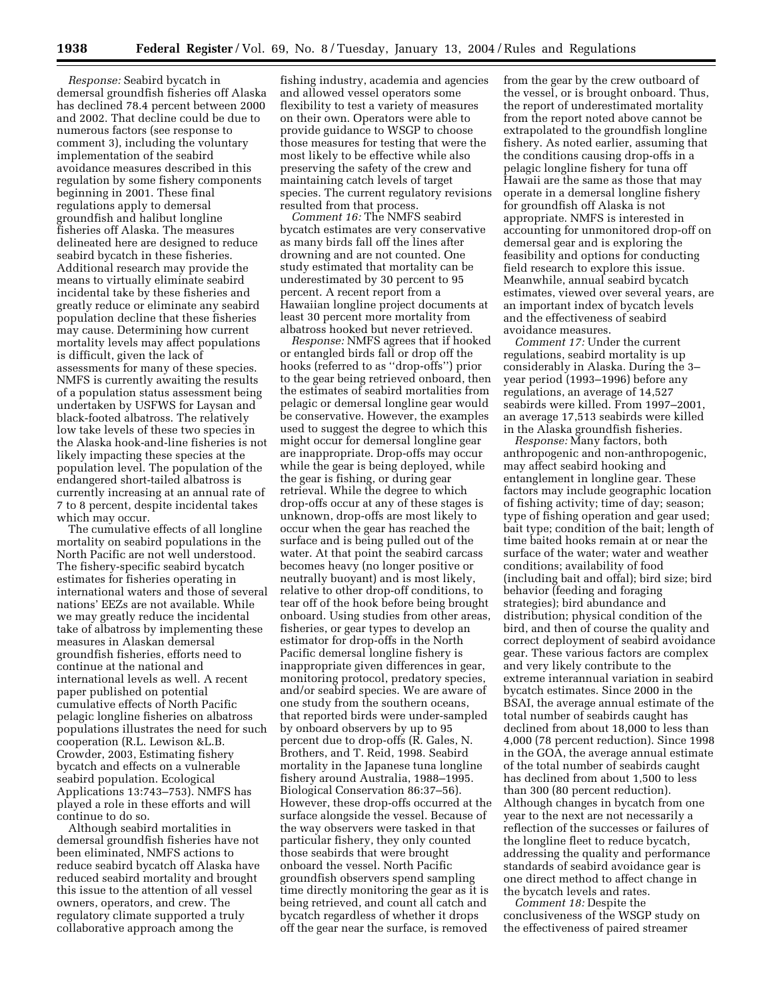*Response:* Seabird bycatch in demersal groundfish fisheries off Alaska has declined 78.4 percent between 2000 and 2002. That decline could be due to numerous factors (see response to comment 3), including the voluntary implementation of the seabird avoidance measures described in this regulation by some fishery components beginning in 2001. These final regulations apply to demersal groundfish and halibut longline fisheries off Alaska. The measures delineated here are designed to reduce seabird bycatch in these fisheries. Additional research may provide the means to virtually eliminate seabird incidental take by these fisheries and greatly reduce or eliminate any seabird population decline that these fisheries may cause. Determining how current mortality levels may affect populations is difficult, given the lack of assessments for many of these species. NMFS is currently awaiting the results of a population status assessment being undertaken by USFWS for Laysan and black-footed albatross. The relatively low take levels of these two species in the Alaska hook-and-line fisheries is not likely impacting these species at the population level. The population of the endangered short-tailed albatross is currently increasing at an annual rate of 7 to 8 percent, despite incidental takes which may occur.

The cumulative effects of all longline mortality on seabird populations in the North Pacific are not well understood. The fishery-specific seabird bycatch estimates for fisheries operating in international waters and those of several nations' EEZs are not available. While we may greatly reduce the incidental take of albatross by implementing these measures in Alaskan demersal groundfish fisheries, efforts need to continue at the national and international levels as well. A recent paper published on potential cumulative effects of North Pacific pelagic longline fisheries on albatross populations illustrates the need for such cooperation (R.L. Lewison &L.B. Crowder, 2003, Estimating fishery bycatch and effects on a vulnerable seabird population. Ecological Applications 13:743–753). NMFS has played a role in these efforts and will continue to do so.

Although seabird mortalities in demersal groundfish fisheries have not been eliminated, NMFS actions to reduce seabird bycatch off Alaska have reduced seabird mortality and brought this issue to the attention of all vessel owners, operators, and crew. The regulatory climate supported a truly collaborative approach among the

fishing industry, academia and agencies and allowed vessel operators some flexibility to test a variety of measures on their own. Operators were able to provide guidance to WSGP to choose those measures for testing that were the most likely to be effective while also preserving the safety of the crew and maintaining catch levels of target species. The current regulatory revisions resulted from that process.

*Comment 16:* The NMFS seabird bycatch estimates are very conservative as many birds fall off the lines after drowning and are not counted. One study estimated that mortality can be underestimated by 30 percent to 95 percent. A recent report from a Hawaiian longline project documents at least 30 percent more mortality from albatross hooked but never retrieved.

*Response:* NMFS agrees that if hooked or entangled birds fall or drop off the hooks (referred to as ''drop-offs'') prior to the gear being retrieved onboard, then the estimates of seabird mortalities from pelagic or demersal longline gear would be conservative. However, the examples used to suggest the degree to which this might occur for demersal longline gear are inappropriate. Drop-offs may occur while the gear is being deployed, while the gear is fishing, or during gear retrieval. While the degree to which drop-offs occur at any of these stages is unknown, drop-offs are most likely to occur when the gear has reached the surface and is being pulled out of the water. At that point the seabird carcass becomes heavy (no longer positive or neutrally buoyant) and is most likely, relative to other drop-off conditions, to tear off of the hook before being brought onboard. Using studies from other areas, fisheries, or gear types to develop an estimator for drop-offs in the North Pacific demersal longline fishery is inappropriate given differences in gear, monitoring protocol, predatory species, and/or seabird species. We are aware of one study from the southern oceans, that reported birds were under-sampled by onboard observers by up to 95 percent due to drop-offs (R. Gales, N. Brothers, and T. Reid, 1998. Seabird mortality in the Japanese tuna longline fishery around Australia, 1988–1995. Biological Conservation 86:37–56). However, these drop-offs occurred at the surface alongside the vessel. Because of the way observers were tasked in that particular fishery, they only counted those seabirds that were brought onboard the vessel. North Pacific groundfish observers spend sampling time directly monitoring the gear as it is being retrieved, and count all catch and bycatch regardless of whether it drops off the gear near the surface, is removed

from the gear by the crew outboard of the vessel, or is brought onboard. Thus, the report of underestimated mortality from the report noted above cannot be extrapolated to the groundfish longline fishery. As noted earlier, assuming that the conditions causing drop-offs in a pelagic longline fishery for tuna off Hawaii are the same as those that may operate in a demersal longline fishery for groundfish off Alaska is not appropriate. NMFS is interested in accounting for unmonitored drop-off on demersal gear and is exploring the feasibility and options for conducting field research to explore this issue. Meanwhile, annual seabird bycatch estimates, viewed over several years, are an important index of bycatch levels and the effectiveness of seabird avoidance measures.

*Comment 17:* Under the current regulations, seabird mortality is up considerably in Alaska. During the 3– year period (1993–1996) before any regulations, an average of 14,527 seabirds were killed. From 1997–2001, an average 17,513 seabirds were killed in the Alaska groundfish fisheries.

*Response:* Many factors, both anthropogenic and non-anthropogenic, may affect seabird hooking and entanglement in longline gear. These factors may include geographic location of fishing activity; time of day; season; type of fishing operation and gear used; bait type; condition of the bait; length of time baited hooks remain at or near the surface of the water; water and weather conditions; availability of food (including bait and offal); bird size; bird behavior (feeding and foraging strategies); bird abundance and distribution; physical condition of the bird, and then of course the quality and correct deployment of seabird avoidance gear. These various factors are complex and very likely contribute to the extreme interannual variation in seabird bycatch estimates. Since 2000 in the BSAI, the average annual estimate of the total number of seabirds caught has declined from about 18,000 to less than 4,000 (78 percent reduction). Since 1998 in the GOA, the average annual estimate of the total number of seabirds caught has declined from about 1,500 to less than 300 (80 percent reduction). Although changes in bycatch from one year to the next are not necessarily a reflection of the successes or failures of the longline fleet to reduce bycatch, addressing the quality and performance standards of seabird avoidance gear is one direct method to affect change in the bycatch levels and rates.

*Comment 18:* Despite the conclusiveness of the WSGP study on the effectiveness of paired streamer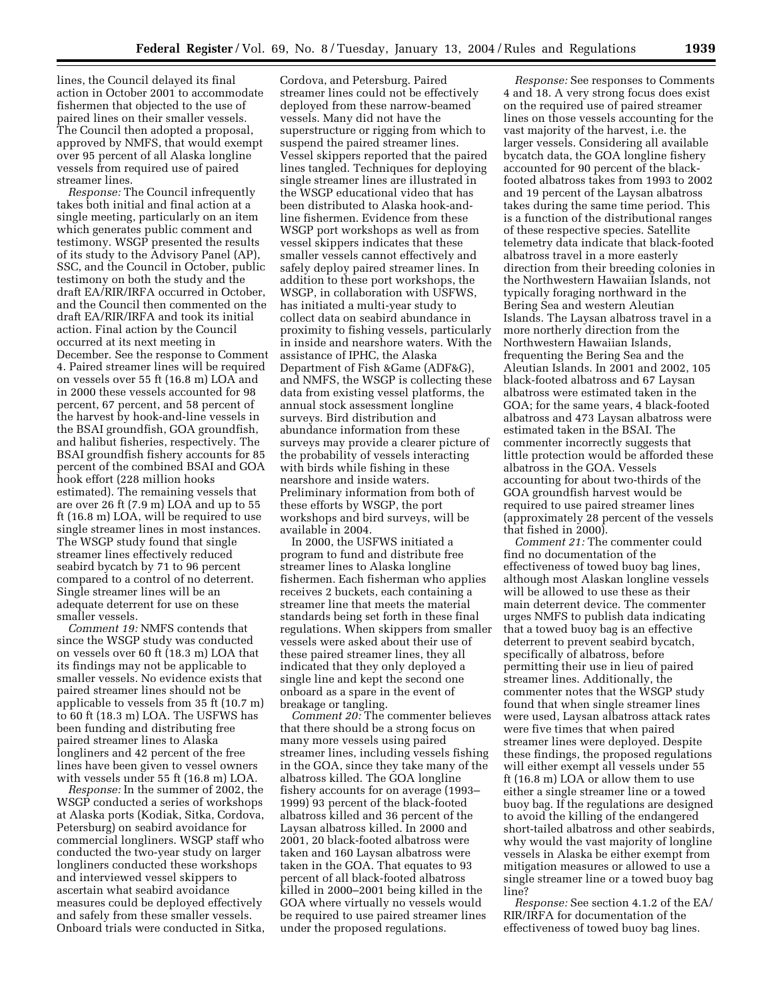lines, the Council delayed its final action in October 2001 to accommodate fishermen that objected to the use of paired lines on their smaller vessels. The Council then adopted a proposal, approved by NMFS, that would exempt over 95 percent of all Alaska longline vessels from required use of paired streamer lines.

*Response:* The Council infrequently takes both initial and final action at a single meeting, particularly on an item which generates public comment and testimony. WSGP presented the results of its study to the Advisory Panel (AP), SSC, and the Council in October, public testimony on both the study and the draft EA/RIR/IRFA occurred in October, and the Council then commented on the draft EA/RIR/IRFA and took its initial action. Final action by the Council occurred at its next meeting in December. See the response to Comment 4. Paired streamer lines will be required on vessels over 55 ft (16.8 m) LOA and in 2000 these vessels accounted for 98 percent, 67 percent, and 58 percent of the harvest by hook-and-line vessels in the BSAI groundfish, GOA groundfish, and halibut fisheries, respectively. The BSAI groundfish fishery accounts for 85 percent of the combined BSAI and GOA hook effort (228 million hooks estimated). The remaining vessels that are over 26 ft (7.9 m) LOA and up to 55 ft (16.8 m) LOA, will be required to use single streamer lines in most instances. The WSGP study found that single streamer lines effectively reduced seabird bycatch by 71 to 96 percent compared to a control of no deterrent. Single streamer lines will be an adequate deterrent for use on these smaller vessels.

*Comment 19:* NMFS contends that since the WSGP study was conducted on vessels over 60 ft (18.3 m) LOA that its findings may not be applicable to smaller vessels. No evidence exists that paired streamer lines should not be applicable to vessels from 35 ft (10.7 m) to 60 ft (18.3 m) LOA. The USFWS has been funding and distributing free paired streamer lines to Alaska longliners and 42 percent of the free lines have been given to vessel owners with vessels under 55 ft (16.8 m) LOA.

*Response:* In the summer of 2002, the WSGP conducted a series of workshops at Alaska ports (Kodiak, Sitka, Cordova, Petersburg) on seabird avoidance for commercial longliners. WSGP staff who conducted the two-year study on larger longliners conducted these workshops and interviewed vessel skippers to ascertain what seabird avoidance measures could be deployed effectively and safely from these smaller vessels. Onboard trials were conducted in Sitka,

Cordova, and Petersburg. Paired streamer lines could not be effectively deployed from these narrow-beamed vessels. Many did not have the superstructure or rigging from which to suspend the paired streamer lines. Vessel skippers reported that the paired lines tangled. Techniques for deploying single streamer lines are illustrated in the WSGP educational video that has been distributed to Alaska hook-andline fishermen. Evidence from these WSGP port workshops as well as from vessel skippers indicates that these smaller vessels cannot effectively and safely deploy paired streamer lines. In addition to these port workshops, the WSGP, in collaboration with USFWS, has initiated a multi-year study to collect data on seabird abundance in proximity to fishing vessels, particularly in inside and nearshore waters. With the assistance of IPHC, the Alaska Department of Fish &Game (ADF&G), and NMFS, the WSGP is collecting these data from existing vessel platforms, the annual stock assessment longline surveys. Bird distribution and abundance information from these surveys may provide a clearer picture of the probability of vessels interacting with birds while fishing in these nearshore and inside waters. Preliminary information from both of these efforts by WSGP, the port workshops and bird surveys, will be available in 2004.

In 2000, the USFWS initiated a program to fund and distribute free streamer lines to Alaska longline fishermen. Each fisherman who applies receives 2 buckets, each containing a streamer line that meets the material standards being set forth in these final regulations. When skippers from smaller vessels were asked about their use of these paired streamer lines, they all indicated that they only deployed a single line and kept the second one onboard as a spare in the event of breakage or tangling.

*Comment 20:* The commenter believes that there should be a strong focus on many more vessels using paired streamer lines, including vessels fishing in the GOA, since they take many of the albatross killed. The GOA longline fishery accounts for on average (1993– 1999) 93 percent of the black-footed albatross killed and 36 percent of the Laysan albatross killed. In 2000 and 2001, 20 black-footed albatross were taken and 160 Laysan albatross were taken in the GOA. That equates to 93 percent of all black-footed albatross killed in 2000–2001 being killed in the GOA where virtually no vessels would be required to use paired streamer lines under the proposed regulations.

*Response:* See responses to Comments 4 and 18. A very strong focus does exist on the required use of paired streamer lines on those vessels accounting for the vast majority of the harvest, i.e. the larger vessels. Considering all available bycatch data, the GOA longline fishery accounted for 90 percent of the blackfooted albatross takes from 1993 to 2002 and 19 percent of the Laysan albatross takes during the same time period. This is a function of the distributional ranges of these respective species. Satellite telemetry data indicate that black-footed albatross travel in a more easterly direction from their breeding colonies in the Northwestern Hawaiian Islands, not typically foraging northward in the Bering Sea and western Aleutian Islands. The Laysan albatross travel in a more northerly direction from the Northwestern Hawaiian Islands, frequenting the Bering Sea and the Aleutian Islands. In 2001 and 2002, 105 black-footed albatross and 67 Laysan albatross were estimated taken in the GOA; for the same years, 4 black-footed albatross and 473 Laysan albatross were estimated taken in the BSAI. The commenter incorrectly suggests that little protection would be afforded these albatross in the GOA. Vessels accounting for about two-thirds of the GOA groundfish harvest would be required to use paired streamer lines (approximately 28 percent of the vessels that fished in 2000).

*Comment 21:* The commenter could find no documentation of the effectiveness of towed buoy bag lines, although most Alaskan longline vessels will be allowed to use these as their main deterrent device. The commenter urges NMFS to publish data indicating that a towed buoy bag is an effective deterrent to prevent seabird bycatch, specifically of albatross, before permitting their use in lieu of paired streamer lines. Additionally, the commenter notes that the WSGP study found that when single streamer lines were used, Laysan albatross attack rates were five times that when paired streamer lines were deployed. Despite these findings, the proposed regulations will either exempt all vessels under 55 ft (16.8 m) LOA or allow them to use either a single streamer line or a towed buoy bag. If the regulations are designed to avoid the killing of the endangered short-tailed albatross and other seabirds, why would the vast majority of longline vessels in Alaska be either exempt from mitigation measures or allowed to use a single streamer line or a towed buoy bag line?

*Response:* See section 4.1.2 of the EA/ RIR/IRFA for documentation of the effectiveness of towed buoy bag lines.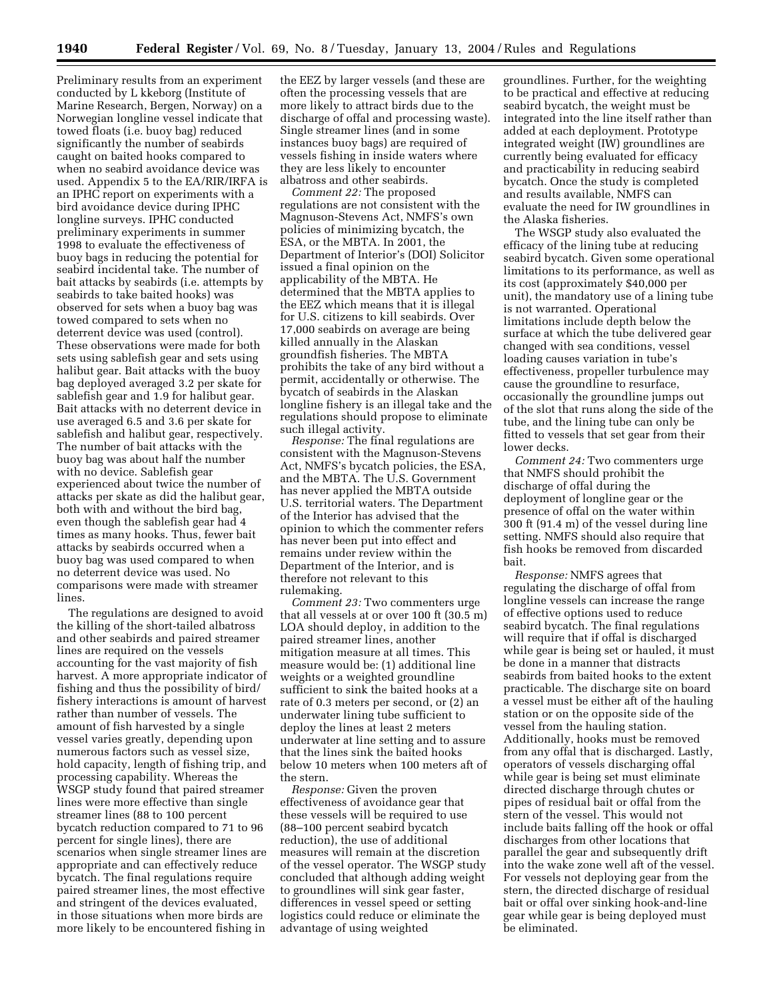Preliminary results from an experiment conducted by L kkeborg (Institute of Marine Research, Bergen, Norway) on a Norwegian longline vessel indicate that towed floats (i.e. buoy bag) reduced significantly the number of seabirds caught on baited hooks compared to when no seabird avoidance device was used. Appendix 5 to the EA/RIR/IRFA is an IPHC report on experiments with a bird avoidance device during IPHC longline surveys. IPHC conducted preliminary experiments in summer 1998 to evaluate the effectiveness of buoy bags in reducing the potential for seabird incidental take. The number of bait attacks by seabirds (i.e. attempts by seabirds to take baited hooks) was observed for sets when a buoy bag was towed compared to sets when no deterrent device was used (control). These observations were made for both sets using sablefish gear and sets using halibut gear. Bait attacks with the buoy bag deployed averaged 3.2 per skate for sablefish gear and 1.9 for halibut gear. Bait attacks with no deterrent device in use averaged 6.5 and 3.6 per skate for sablefish and halibut gear, respectively. The number of bait attacks with the buoy bag was about half the number with no device. Sablefish gear experienced about twice the number of attacks per skate as did the halibut gear, both with and without the bird bag, even though the sablefish gear had 4 times as many hooks. Thus, fewer bait attacks by seabirds occurred when a buoy bag was used compared to when no deterrent device was used. No comparisons were made with streamer lines.

The regulations are designed to avoid the killing of the short-tailed albatross and other seabirds and paired streamer lines are required on the vessels accounting for the vast majority of fish harvest. A more appropriate indicator of fishing and thus the possibility of bird/ fishery interactions is amount of harvest rather than number of vessels. The amount of fish harvested by a single vessel varies greatly, depending upon numerous factors such as vessel size, hold capacity, length of fishing trip, and processing capability. Whereas the WSGP study found that paired streamer lines were more effective than single streamer lines (88 to 100 percent bycatch reduction compared to 71 to 96 percent for single lines), there are scenarios when single streamer lines are appropriate and can effectively reduce bycatch. The final regulations require paired streamer lines, the most effective and stringent of the devices evaluated, in those situations when more birds are more likely to be encountered fishing in

the EEZ by larger vessels (and these are often the processing vessels that are more likely to attract birds due to the discharge of offal and processing waste). Single streamer lines (and in some instances buoy bags) are required of vessels fishing in inside waters where they are less likely to encounter albatross and other seabirds.

*Comment 22:* The proposed regulations are not consistent with the Magnuson-Stevens Act, NMFS's own policies of minimizing bycatch, the ESA, or the MBTA. In 2001, the Department of Interior's (DOI) Solicitor issued a final opinion on the applicability of the MBTA. He determined that the MBTA applies to the EEZ which means that it is illegal for U.S. citizens to kill seabirds. Over 17,000 seabirds on average are being killed annually in the Alaskan groundfish fisheries. The MBTA prohibits the take of any bird without a permit, accidentally or otherwise. The bycatch of seabirds in the Alaskan longline fishery is an illegal take and the regulations should propose to eliminate such illegal activity.

*Response:* The final regulations are consistent with the Magnuson-Stevens Act, NMFS's bycatch policies, the ESA, and the MBTA. The U.S. Government has never applied the MBTA outside U.S. territorial waters. The Department of the Interior has advised that the opinion to which the commenter refers has never been put into effect and remains under review within the Department of the Interior, and is therefore not relevant to this rulemaking.

*Comment 23:* Two commenters urge that all vessels at or over 100 ft (30.5 m) LOA should deploy, in addition to the paired streamer lines, another mitigation measure at all times. This measure would be: (1) additional line weights or a weighted groundline sufficient to sink the baited hooks at a rate of 0.3 meters per second, or (2) an underwater lining tube sufficient to deploy the lines at least 2 meters underwater at line setting and to assure that the lines sink the baited hooks below 10 meters when 100 meters aft of the stern.

*Response:* Given the proven effectiveness of avoidance gear that these vessels will be required to use (88–100 percent seabird bycatch reduction), the use of additional measures will remain at the discretion of the vessel operator. The WSGP study concluded that although adding weight to groundlines will sink gear faster, differences in vessel speed or setting logistics could reduce or eliminate the advantage of using weighted

groundlines. Further, for the weighting to be practical and effective at reducing seabird bycatch, the weight must be integrated into the line itself rather than added at each deployment. Prototype integrated weight (IW) groundlines are currently being evaluated for efficacy and practicability in reducing seabird bycatch. Once the study is completed and results available, NMFS can evaluate the need for IW groundlines in the Alaska fisheries.

The WSGP study also evaluated the efficacy of the lining tube at reducing seabird bycatch. Given some operational limitations to its performance, as well as its cost (approximately \$40,000 per unit), the mandatory use of a lining tube is not warranted. Operational limitations include depth below the surface at which the tube delivered gear changed with sea conditions, vessel loading causes variation in tube's effectiveness, propeller turbulence may cause the groundline to resurface, occasionally the groundline jumps out of the slot that runs along the side of the tube, and the lining tube can only be fitted to vessels that set gear from their lower decks.

*Comment 24:* Two commenters urge that NMFS should prohibit the discharge of offal during the deployment of longline gear or the presence of offal on the water within 300 ft (91.4 m) of the vessel during line setting. NMFS should also require that fish hooks be removed from discarded bait.

*Response:* NMFS agrees that regulating the discharge of offal from longline vessels can increase the range of effective options used to reduce seabird bycatch. The final regulations will require that if offal is discharged while gear is being set or hauled, it must be done in a manner that distracts seabirds from baited hooks to the extent practicable. The discharge site on board a vessel must be either aft of the hauling station or on the opposite side of the vessel from the hauling station. Additionally, hooks must be removed from any offal that is discharged. Lastly, operators of vessels discharging offal while gear is being set must eliminate directed discharge through chutes or pipes of residual bait or offal from the stern of the vessel. This would not include baits falling off the hook or offal discharges from other locations that parallel the gear and subsequently drift into the wake zone well aft of the vessel. For vessels not deploying gear from the stern, the directed discharge of residual bait or offal over sinking hook-and-line gear while gear is being deployed must be eliminated.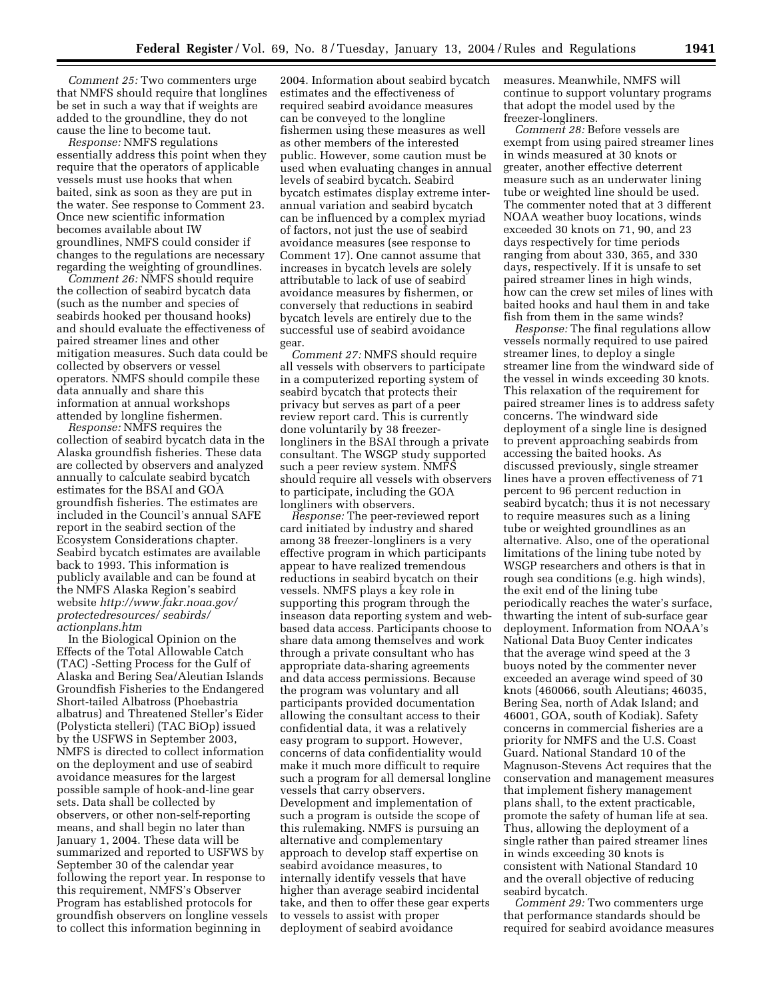*Comment 25:* Two commenters urge that NMFS should require that longlines be set in such a way that if weights are added to the groundline, they do not cause the line to become taut.

*Response:* NMFS regulations essentially address this point when they require that the operators of applicable vessels must use hooks that when baited, sink as soon as they are put in the water. See response to Comment 23. Once new scientific information becomes available about IW groundlines, NMFS could consider if changes to the regulations are necessary regarding the weighting of groundlines.

*Comment 26:* NMFS should require the collection of seabird bycatch data (such as the number and species of seabirds hooked per thousand hooks) and should evaluate the effectiveness of paired streamer lines and other mitigation measures. Such data could be collected by observers or vessel operators. NMFS should compile these data annually and share this information at annual workshops attended by longline fishermen.

*Response:* NMFS requires the collection of seabird bycatch data in the Alaska groundfish fisheries. These data are collected by observers and analyzed annually to calculate seabird bycatch estimates for the BSAI and GOA groundfish fisheries. The estimates are included in the Council's annual SAFE report in the seabird section of the Ecosystem Considerations chapter. Seabird bycatch estimates are available back to 1993. This information is publicly available and can be found at the NMFS Alaska Region's seabird website *http://www.fakr.noaa.gov/ protectedresources/ seabirds/ actionplans.htm*

In the Biological Opinion on the Effects of the Total Allowable Catch (TAC) -Setting Process for the Gulf of Alaska and Bering Sea/Aleutian Islands Groundfish Fisheries to the Endangered Short-tailed Albatross (Phoebastria albatrus) and Threatened Steller's Eider (Polysticta stelleri) (TAC BiOp) issued by the USFWS in September 2003, NMFS is directed to collect information on the deployment and use of seabird avoidance measures for the largest possible sample of hook-and-line gear sets. Data shall be collected by observers, or other non-self-reporting means, and shall begin no later than January 1, 2004. These data will be summarized and reported to USFWS by September 30 of the calendar year following the report year. In response to this requirement, NMFS's Observer Program has established protocols for groundfish observers on longline vessels to collect this information beginning in

2004. Information about seabird bycatch estimates and the effectiveness of required seabird avoidance measures can be conveyed to the longline fishermen using these measures as well as other members of the interested public. However, some caution must be used when evaluating changes in annual levels of seabird bycatch. Seabird bycatch estimates display extreme interannual variation and seabird bycatch can be influenced by a complex myriad of factors, not just the use of seabird avoidance measures (see response to Comment 17). One cannot assume that increases in bycatch levels are solely attributable to lack of use of seabird avoidance measures by fishermen, or conversely that reductions in seabird bycatch levels are entirely due to the successful use of seabird avoidance gear.

*Comment 27:* NMFS should require all vessels with observers to participate in a computerized reporting system of seabird bycatch that protects their privacy but serves as part of a peer review report card. This is currently done voluntarily by 38 freezerlongliners in the BSAI through a private consultant. The WSGP study supported such a peer review system. NMFS should require all vessels with observers to participate, including the GOA longliners with observers.

*Response:* The peer-reviewed report card initiated by industry and shared among 38 freezer-longliners is a very effective program in which participants appear to have realized tremendous reductions in seabird bycatch on their vessels. NMFS plays a key role in supporting this program through the inseason data reporting system and webbased data access. Participants choose to share data among themselves and work through a private consultant who has appropriate data-sharing agreements and data access permissions. Because the program was voluntary and all participants provided documentation allowing the consultant access to their confidential data, it was a relatively easy program to support. However, concerns of data confidentiality would make it much more difficult to require such a program for all demersal longline vessels that carry observers. Development and implementation of such a program is outside the scope of this rulemaking. NMFS is pursuing an alternative and complementary approach to develop staff expertise on seabird avoidance measures, to internally identify vessels that have higher than average seabird incidental take, and then to offer these gear experts to vessels to assist with proper deployment of seabird avoidance

measures. Meanwhile, NMFS will continue to support voluntary programs that adopt the model used by the freezer-longliners.

*Comment 28:* Before vessels are exempt from using paired streamer lines in winds measured at 30 knots or greater, another effective deterrent measure such as an underwater lining tube or weighted line should be used. The commenter noted that at 3 different NOAA weather buoy locations, winds exceeded 30 knots on 71, 90, and 23 days respectively for time periods ranging from about 330, 365, and 330 days, respectively. If it is unsafe to set paired streamer lines in high winds, how can the crew set miles of lines with baited hooks and haul them in and take fish from them in the same winds?

*Response:* The final regulations allow vessels normally required to use paired streamer lines, to deploy a single streamer line from the windward side of the vessel in winds exceeding 30 knots. This relaxation of the requirement for paired streamer lines is to address safety concerns. The windward side deployment of a single line is designed to prevent approaching seabirds from accessing the baited hooks. As discussed previously, single streamer lines have a proven effectiveness of 71 percent to 96 percent reduction in seabird bycatch; thus it is not necessary to require measures such as a lining tube or weighted groundlines as an alternative. Also, one of the operational limitations of the lining tube noted by WSGP researchers and others is that in rough sea conditions (e.g. high winds), the exit end of the lining tube periodically reaches the water's surface, thwarting the intent of sub-surface gear deployment. Information from NOAA's National Data Buoy Center indicates that the average wind speed at the 3 buoys noted by the commenter never exceeded an average wind speed of 30 knots (460066, south Aleutians; 46035, Bering Sea, north of Adak Island; and 46001, GOA, south of Kodiak). Safety concerns in commercial fisheries are a priority for NMFS and the U.S. Coast Guard. National Standard 10 of the Magnuson-Stevens Act requires that the conservation and management measures that implement fishery management plans shall, to the extent practicable, promote the safety of human life at sea. Thus, allowing the deployment of a single rather than paired streamer lines in winds exceeding 30 knots is consistent with National Standard 10 and the overall objective of reducing seabird bycatch.

*Comment 29:* Two commenters urge that performance standards should be required for seabird avoidance measures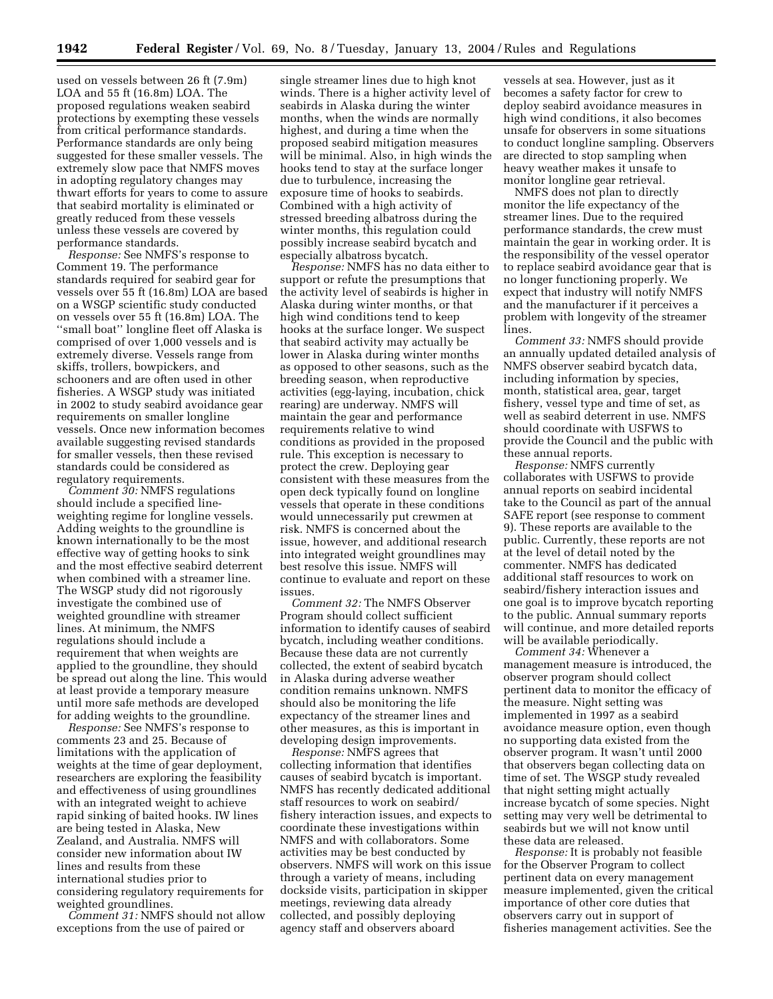used on vessels between 26 ft (7.9m) LOA and 55 ft (16.8m) LOA. The proposed regulations weaken seabird protections by exempting these vessels from critical performance standards. Performance standards are only being suggested for these smaller vessels. The extremely slow pace that NMFS moves in adopting regulatory changes may thwart efforts for years to come to assure that seabird mortality is eliminated or greatly reduced from these vessels unless these vessels are covered by performance standards.

*Response:* See NMFS's response to Comment 19. The performance standards required for seabird gear for vessels over 55 ft (16.8m) LOA are based on a WSGP scientific study conducted on vessels over 55 ft (16.8m) LOA. The ''small boat'' longline fleet off Alaska is comprised of over 1,000 vessels and is extremely diverse. Vessels range from skiffs, trollers, bowpickers, and schooners and are often used in other fisheries. A WSGP study was initiated in 2002 to study seabird avoidance gear requirements on smaller longline vessels. Once new information becomes available suggesting revised standards for smaller vessels, then these revised standards could be considered as regulatory requirements.

*Comment 30:* NMFS regulations should include a specified lineweighting regime for longline vessels. Adding weights to the groundline is known internationally to be the most effective way of getting hooks to sink and the most effective seabird deterrent when combined with a streamer line. The WSGP study did not rigorously investigate the combined use of weighted groundline with streamer lines. At minimum, the NMFS regulations should include a requirement that when weights are applied to the groundline, they should be spread out along the line. This would at least provide a temporary measure until more safe methods are developed for adding weights to the groundline.

*Response:* See NMFS's response to comments 23 and 25. Because of limitations with the application of weights at the time of gear deployment, researchers are exploring the feasibility and effectiveness of using groundlines with an integrated weight to achieve rapid sinking of baited hooks. IW lines are being tested in Alaska, New Zealand, and Australia. NMFS will consider new information about IW lines and results from these international studies prior to considering regulatory requirements for weighted groundlines.

*Comment 31:* NMFS should not allow exceptions from the use of paired or

single streamer lines due to high knot winds. There is a higher activity level of seabirds in Alaska during the winter months, when the winds are normally highest, and during a time when the proposed seabird mitigation measures will be minimal. Also, in high winds the hooks tend to stay at the surface longer due to turbulence, increasing the exposure time of hooks to seabirds. Combined with a high activity of stressed breeding albatross during the winter months, this regulation could possibly increase seabird bycatch and especially albatross bycatch.

*Response:* NMFS has no data either to support or refute the presumptions that the activity level of seabirds is higher in Alaska during winter months, or that high wind conditions tend to keep hooks at the surface longer. We suspect that seabird activity may actually be lower in Alaska during winter months as opposed to other seasons, such as the breeding season, when reproductive activities (egg-laying, incubation, chick rearing) are underway. NMFS will maintain the gear and performance requirements relative to wind conditions as provided in the proposed rule. This exception is necessary to protect the crew. Deploying gear consistent with these measures from the open deck typically found on longline vessels that operate in these conditions would unnecessarily put crewmen at risk. NMFS is concerned about the issue, however, and additional research into integrated weight groundlines may best resolve this issue. NMFS will continue to evaluate and report on these issues.

*Comment 32:* The NMFS Observer Program should collect sufficient information to identify causes of seabird bycatch, including weather conditions. Because these data are not currently collected, the extent of seabird bycatch in Alaska during adverse weather condition remains unknown. NMFS should also be monitoring the life expectancy of the streamer lines and other measures, as this is important in developing design improvements.

*Response:* NMFS agrees that collecting information that identifies causes of seabird bycatch is important. NMFS has recently dedicated additional staff resources to work on seabird/ fishery interaction issues, and expects to coordinate these investigations within NMFS and with collaborators. Some activities may be best conducted by observers. NMFS will work on this issue through a variety of means, including dockside visits, participation in skipper meetings, reviewing data already collected, and possibly deploying agency staff and observers aboard

vessels at sea. However, just as it becomes a safety factor for crew to deploy seabird avoidance measures in high wind conditions, it also becomes unsafe for observers in some situations to conduct longline sampling. Observers are directed to stop sampling when heavy weather makes it unsafe to monitor longline gear retrieval.

NMFS does not plan to directly monitor the life expectancy of the streamer lines. Due to the required performance standards, the crew must maintain the gear in working order. It is the responsibility of the vessel operator to replace seabird avoidance gear that is no longer functioning properly. We expect that industry will notify NMFS and the manufacturer if it perceives a problem with longevity of the streamer lines.

*Comment 33:* NMFS should provide an annually updated detailed analysis of NMFS observer seabird bycatch data, including information by species, month, statistical area, gear, target fishery, vessel type and time of set, as well as seabird deterrent in use. NMFS should coordinate with USFWS to provide the Council and the public with these annual reports.

*Response:* NMFS currently collaborates with USFWS to provide annual reports on seabird incidental take to the Council as part of the annual SAFE report (see response to comment 9). These reports are available to the public. Currently, these reports are not at the level of detail noted by the commenter. NMFS has dedicated additional staff resources to work on seabird/fishery interaction issues and one goal is to improve bycatch reporting to the public. Annual summary reports will continue, and more detailed reports will be available periodically.

*Comment 34:* Whenever a management measure is introduced, the observer program should collect pertinent data to monitor the efficacy of the measure. Night setting was implemented in 1997 as a seabird avoidance measure option, even though no supporting data existed from the observer program. It wasn't until 2000 that observers began collecting data on time of set. The WSGP study revealed that night setting might actually increase bycatch of some species. Night setting may very well be detrimental to seabirds but we will not know until these data are released.

*Response:* It is probably not feasible for the Observer Program to collect pertinent data on every management measure implemented, given the critical importance of other core duties that observers carry out in support of fisheries management activities. See the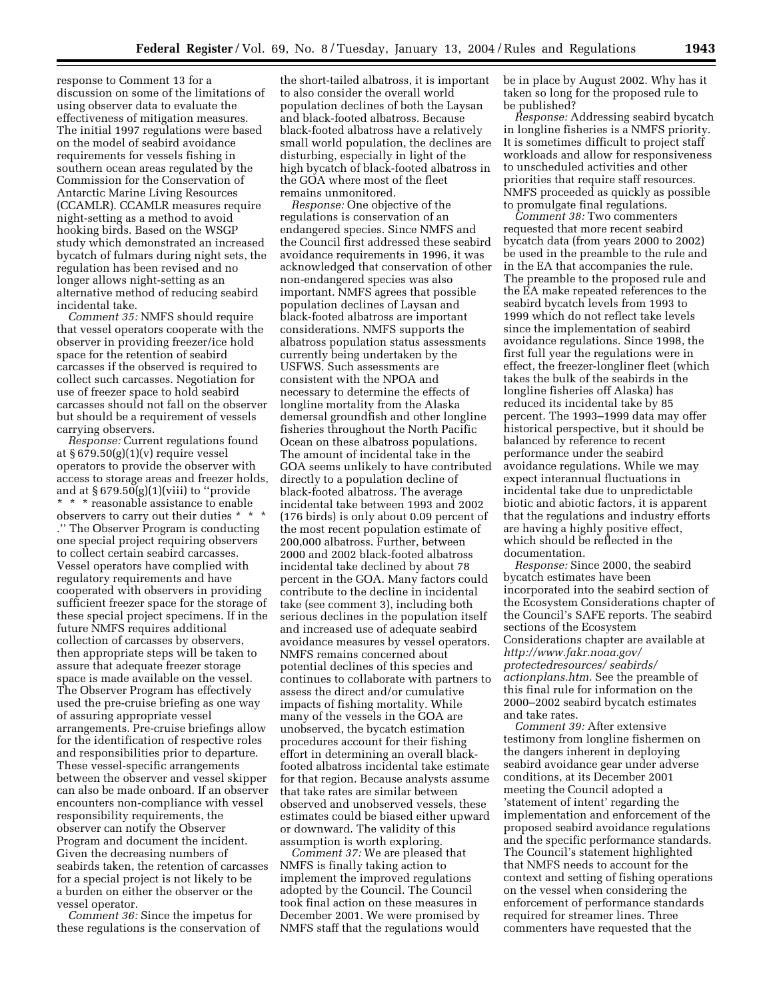response to Comment 13 for a discussion on some of the limitations of using observer data to evaluate the effectiveness of mitigation measures. The initial 1997 regulations were based on the model of seabird avoidance requirements for vessels fishing in southern ocean areas regulated by the Commission for the Conservation of Antarctic Marine Living Resources (CCAMLR). CCAMLR measures require night-setting as a method to avoid hooking birds. Based on the WSGP study which demonstrated an increased bycatch of fulmars during night sets, the regulation has been revised and no longer allows night-setting as an alternative method of reducing seabird incidental take.

*Comment 35:* NMFS should require that vessel operators cooperate with the observer in providing freezer/ice hold space for the retention of seabird carcasses if the observed is required to collect such carcasses. Negotiation for use of freezer space to hold seabird carcasses should not fall on the observer but should be a requirement of vessels carrying observers.

*Response:* Current regulations found at § 679.50(g)(1)(v) require vessel operators to provide the observer with access to storage areas and freezer holds, and at  $\S 679.50(g)(1)(viii)$  to "provide" \* \* \* reasonable assistance to enable observers to carry out their duties \* \* \* .'' The Observer Program is conducting one special project requiring observers to collect certain seabird carcasses. Vessel operators have complied with regulatory requirements and have cooperated with observers in providing sufficient freezer space for the storage of these special project specimens. If in the future NMFS requires additional collection of carcasses by observers, then appropriate steps will be taken to assure that adequate freezer storage space is made available on the vessel. The Observer Program has effectively used the pre-cruise briefing as one way of assuring appropriate vessel arrangements. Pre-cruise briefings allow for the identification of respective roles and responsibilities prior to departure. These vessel-specific arrangements between the observer and vessel skipper can also be made onboard. If an observer encounters non-compliance with vessel responsibility requirements, the observer can notify the Observer Program and document the incident. Given the decreasing numbers of seabirds taken, the retention of carcasses for a special project is not likely to be a burden on either the observer or the vessel operator.

*Comment 36:* Since the impetus for these regulations is the conservation of

the short-tailed albatross, it is important to also consider the overall world population declines of both the Laysan and black-footed albatross. Because black-footed albatross have a relatively small world population, the declines are disturbing, especially in light of the high bycatch of black-footed albatross in the GOA where most of the fleet remains unmonitored.

*Response:* One objective of the regulations is conservation of an endangered species. Since NMFS and the Council first addressed these seabird avoidance requirements in 1996, it was acknowledged that conservation of other non-endangered species was also important. NMFS agrees that possible population declines of Laysan and black-footed albatross are important considerations. NMFS supports the albatross population status assessments currently being undertaken by the USFWS. Such assessments are consistent with the NPOA and necessary to determine the effects of longline mortality from the Alaska demersal groundfish and other longline fisheries throughout the North Pacific Ocean on these albatross populations. The amount of incidental take in the GOA seems unlikely to have contributed directly to a population decline of black-footed albatross. The average incidental take between 1993 and 2002 (176 birds) is only about 0.09 percent of the most recent population estimate of 200,000 albatross. Further, between 2000 and 2002 black-footed albatross incidental take declined by about 78 percent in the GOA. Many factors could contribute to the decline in incidental take (see comment 3), including both serious declines in the population itself and increased use of adequate seabird avoidance measures by vessel operators. NMFS remains concerned about potential declines of this species and continues to collaborate with partners to assess the direct and/or cumulative impacts of fishing mortality. While many of the vessels in the GOA are unobserved, the bycatch estimation procedures account for their fishing effort in determining an overall blackfooted albatross incidental take estimate for that region. Because analysts assume that take rates are similar between observed and unobserved vessels, these estimates could be biased either upward or downward. The validity of this assumption is worth exploring.

*Comment 37:* We are pleased that NMFS is finally taking action to implement the improved regulations adopted by the Council. The Council took final action on these measures in December 2001. We were promised by NMFS staff that the regulations would

be in place by August 2002. Why has it taken so long for the proposed rule to be published?

*Response:* Addressing seabird bycatch in longline fisheries is a NMFS priority. It is sometimes difficult to project staff workloads and allow for responsiveness to unscheduled activities and other priorities that require staff resources. NMFS proceeded as quickly as possible to promulgate final regulations.

*Comment 38:* Two commenters requested that more recent seabird bycatch data (from years 2000 to 2002) be used in the preamble to the rule and in the EA that accompanies the rule. The preamble to the proposed rule and the EA make repeated references to the seabird bycatch levels from 1993 to 1999 which do not reflect take levels since the implementation of seabird avoidance regulations. Since 1998, the first full year the regulations were in effect, the freezer-longliner fleet (which takes the bulk of the seabirds in the longline fisheries off Alaska) has reduced its incidental take by 85 percent. The 1993–1999 data may offer historical perspective, but it should be balanced by reference to recent performance under the seabird avoidance regulations. While we may expect interannual fluctuations in incidental take due to unpredictable biotic and abiotic factors, it is apparent that the regulations and industry efforts are having a highly positive effect, which should be reflected in the documentation.

*Response:* Since 2000, the seabird bycatch estimates have been incorporated into the seabird section of the Ecosystem Considerations chapter of the Council's SAFE reports. The seabird sections of the Ecosystem Considerations chapter are available at *http://www.fakr.noaa.gov/ protectedresources/ seabirds/ actionplans.htm.* See the preamble of this final rule for information on the 2000–2002 seabird bycatch estimates and take rates.

*Comment 39:* After extensive testimony from longline fishermen on the dangers inherent in deploying seabird avoidance gear under adverse conditions, at its December 2001 meeting the Council adopted a 'statement of intent' regarding the implementation and enforcement of the proposed seabird avoidance regulations and the specific performance standards. The Council's statement highlighted that NMFS needs to account for the context and setting of fishing operations on the vessel when considering the enforcement of performance standards required for streamer lines. Three commenters have requested that the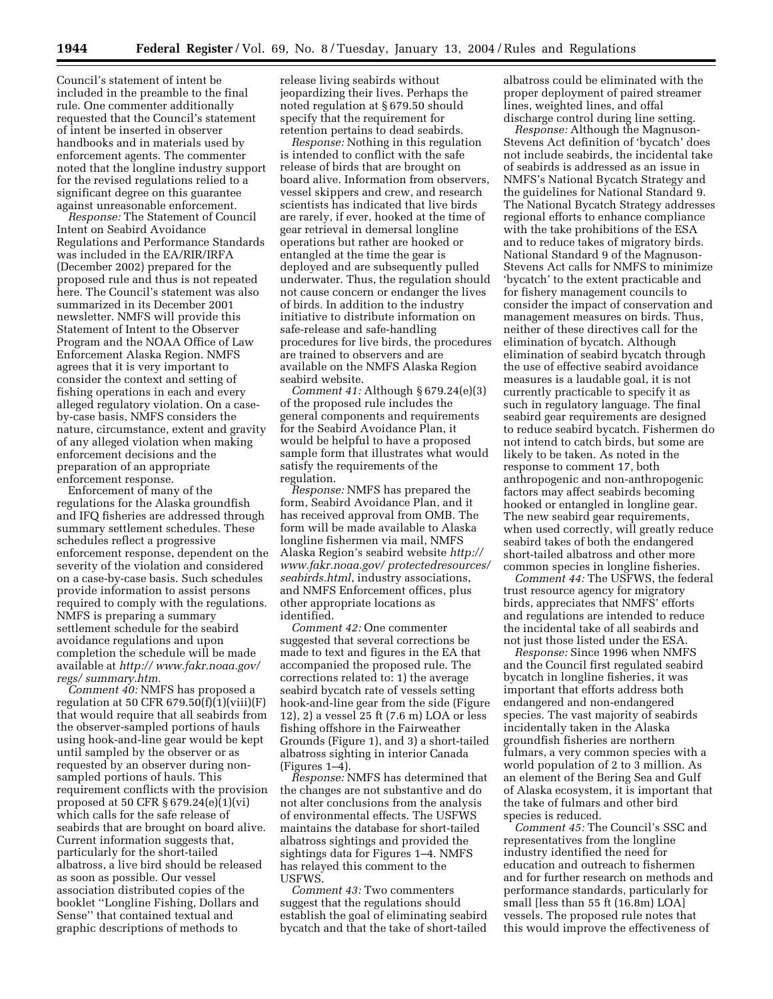Council's statement of intent be included in the preamble to the final rule. One commenter additionally requested that the Council's statement of intent be inserted in observer handbooks and in materials used by enforcement agents. The commenter noted that the longline industry support for the revised regulations relied to a significant degree on this guarantee against unreasonable enforcement.

*Response:* The Statement of Council Intent on Seabird Avoidance Regulations and Performance Standards was included in the EA/RIR/IRFA (December 2002) prepared for the proposed rule and thus is not repeated here. The Council's statement was also summarized in its December 2001 newsletter. NMFS will provide this Statement of Intent to the Observer Program and the NOAA Office of Law Enforcement Alaska Region. NMFS agrees that it is very important to consider the context and setting of fishing operations in each and every alleged regulatory violation. On a caseby-case basis, NMFS considers the nature, circumstance, extent and gravity of any alleged violation when making enforcement decisions and the preparation of an appropriate enforcement response.

Enforcement of many of the regulations for the Alaska groundfish and IFQ fisheries are addressed through summary settlement schedules. These schedules reflect a progressive enforcement response, dependent on the severity of the violation and considered on a case-by-case basis. Such schedules provide information to assist persons required to comply with the regulations. NMFS is preparing a summary settlement schedule for the seabird avoidance regulations and upon completion the schedule will be made available at *http:// www.fakr.noaa.gov/ regs/ summary.htm.*

*Comment 40:* NMFS has proposed a regulation at 50 CFR  $679.50(f)(1)(viii)(F)$ that would require that all seabirds from the observer-sampled portions of hauls using hook-and-line gear would be kept until sampled by the observer or as requested by an observer during nonsampled portions of hauls. This requirement conflicts with the provision proposed at 50 CFR § 679.24(e)(1)(vi) which calls for the safe release of seabirds that are brought on board alive. Current information suggests that, particularly for the short-tailed albatross, a live bird should be released as soon as possible. Our vessel association distributed copies of the booklet ''Longline Fishing, Dollars and Sense'' that contained textual and graphic descriptions of methods to

release living seabirds without jeopardizing their lives. Perhaps the noted regulation at § 679.50 should specify that the requirement for retention pertains to dead seabirds.

*Response:* Nothing in this regulation is intended to conflict with the safe release of birds that are brought on board alive. Information from observers, vessel skippers and crew, and research scientists has indicated that live birds are rarely, if ever, hooked at the time of gear retrieval in demersal longline operations but rather are hooked or entangled at the time the gear is deployed and are subsequently pulled underwater. Thus, the regulation should not cause concern or endanger the lives of birds. In addition to the industry initiative to distribute information on safe-release and safe-handling procedures for live birds, the procedures are trained to observers and are available on the NMFS Alaska Region seabird website.

*Comment 41:* Although § 679.24(e)(3) of the proposed rule includes the general components and requirements for the Seabird Avoidance Plan, it would be helpful to have a proposed sample form that illustrates what would satisfy the requirements of the regulation.

*Response:* NMFS has prepared the form, Seabird Avoidance Plan, and it has received approval from OMB. The form will be made available to Alaska longline fishermen via mail, NMFS Alaska Region's seabird website *http:// www.fakr.noaa.gov/ protectedresources/ seabirds.html*, industry associations, and NMFS Enforcement offices, plus other appropriate locations as identified.

*Comment 42:* One commenter suggested that several corrections be made to text and figures in the EA that accompanied the proposed rule. The corrections related to: 1) the average seabird bycatch rate of vessels setting hook-and-line gear from the side (Figure 12), 2) a vessel 25 ft (7.6 m) LOA or less fishing offshore in the Fairweather Grounds (Figure 1), and 3) a short-tailed albatross sighting in interior Canada  $(Figures 1–4)$ .

*Response:* NMFS has determined that the changes are not substantive and do not alter conclusions from the analysis of environmental effects. The USFWS maintains the database for short-tailed albatross sightings and provided the sightings data for Figures 1–4. NMFS has relayed this comment to the USFWS.

*Comment 43:* Two commenters suggest that the regulations should establish the goal of eliminating seabird bycatch and that the take of short-tailed

albatross could be eliminated with the proper deployment of paired streamer lines, weighted lines, and offal discharge control during line setting.

*Response:* Although the Magnuson-Stevens Act definition of 'bycatch' does not include seabirds, the incidental take of seabirds is addressed as an issue in NMFS's National Bycatch Strategy and the guidelines for National Standard 9. The National Bycatch Strategy addresses regional efforts to enhance compliance with the take prohibitions of the ESA and to reduce takes of migratory birds. National Standard 9 of the Magnuson-Stevens Act calls for NMFS to minimize 'bycatch' to the extent practicable and for fishery management councils to consider the impact of conservation and management measures on birds. Thus, neither of these directives call for the elimination of bycatch. Although elimination of seabird bycatch through the use of effective seabird avoidance measures is a laudable goal, it is not currently practicable to specify it as such in regulatory language. The final seabird gear requirements are designed to reduce seabird bycatch. Fishermen do not intend to catch birds, but some are likely to be taken. As noted in the response to comment 17, both anthropogenic and non-anthropogenic factors may affect seabirds becoming hooked or entangled in longline gear. The new seabird gear requirements, when used correctly, will greatly reduce seabird takes of both the endangered short-tailed albatross and other more common species in longline fisheries.

*Comment 44:* The USFWS, the federal trust resource agency for migratory birds, appreciates that NMFS' efforts and regulations are intended to reduce the incidental take of all seabirds and not just those listed under the ESA.

*Response:* Since 1996 when NMFS and the Council first regulated seabird bycatch in longline fisheries, it was important that efforts address both endangered and non-endangered species. The vast majority of seabirds incidentally taken in the Alaska groundfish fisheries are northern fulmars, a very common species with a world population of 2 to 3 million. As an element of the Bering Sea and Gulf of Alaska ecosystem, it is important that the take of fulmars and other bird species is reduced.

*Comment 45:* The Council's SSC and representatives from the longline industry identified the need for education and outreach to fishermen and for further research on methods and performance standards, particularly for small [less than 55 ft (16.8m) LOA] vessels. The proposed rule notes that this would improve the effectiveness of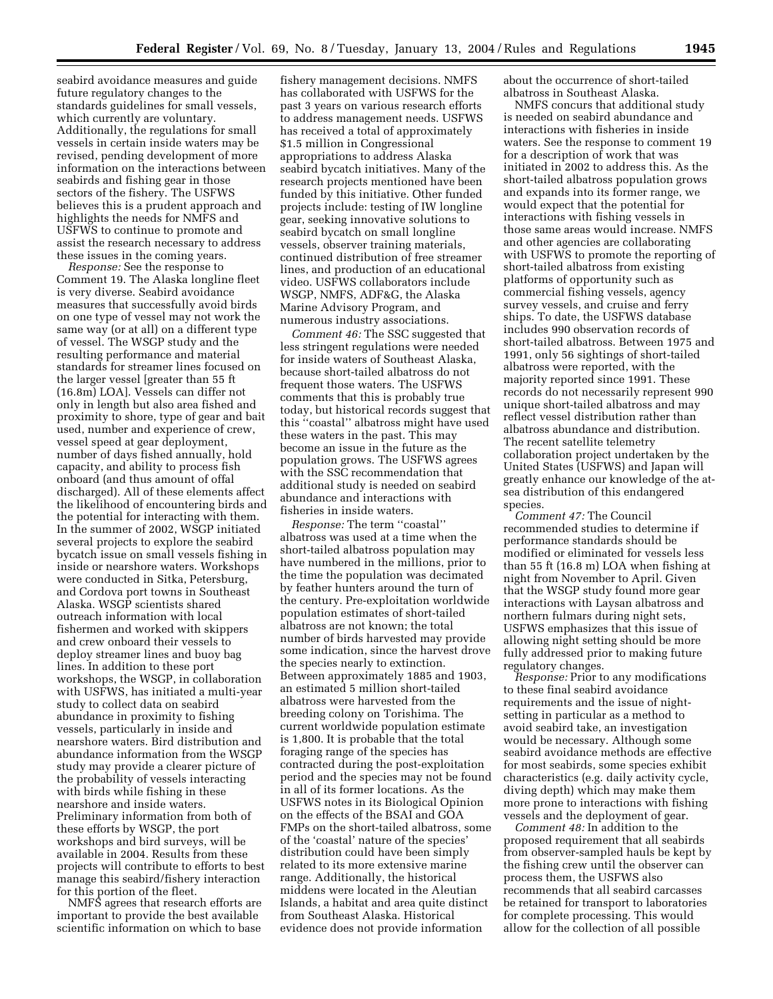seabird avoidance measures and guide future regulatory changes to the standards guidelines for small vessels, which currently are voluntary. Additionally, the regulations for small vessels in certain inside waters may be revised, pending development of more information on the interactions between seabirds and fishing gear in those sectors of the fishery. The USFWS believes this is a prudent approach and highlights the needs for NMFS and USFWS to continue to promote and assist the research necessary to address these issues in the coming years.

*Response:* See the response to Comment 19. The Alaska longline fleet is very diverse. Seabird avoidance measures that successfully avoid birds on one type of vessel may not work the same way (or at all) on a different type of vessel. The WSGP study and the resulting performance and material standards for streamer lines focused on the larger vessel [greater than 55 ft (16.8m) LOA]. Vessels can differ not only in length but also area fished and proximity to shore, type of gear and bait used, number and experience of crew, vessel speed at gear deployment, number of days fished annually, hold capacity, and ability to process fish onboard (and thus amount of offal discharged). All of these elements affect the likelihood of encountering birds and the potential for interacting with them. In the summer of 2002, WSGP initiated several projects to explore the seabird bycatch issue on small vessels fishing in inside or nearshore waters. Workshops were conducted in Sitka, Petersburg, and Cordova port towns in Southeast Alaska. WSGP scientists shared outreach information with local fishermen and worked with skippers and crew onboard their vessels to deploy streamer lines and buoy bag lines. In addition to these port workshops, the WSGP, in collaboration with USFWS, has initiated a multi-year study to collect data on seabird abundance in proximity to fishing vessels, particularly in inside and nearshore waters. Bird distribution and abundance information from the WSGP study may provide a clearer picture of the probability of vessels interacting with birds while fishing in these nearshore and inside waters. Preliminary information from both of these efforts by WSGP, the port workshops and bird surveys, will be available in 2004. Results from these projects will contribute to efforts to best manage this seabird/fishery interaction for this portion of the fleet.

NMFS agrees that research efforts are important to provide the best available scientific information on which to base

fishery management decisions. NMFS has collaborated with USFWS for the past 3 years on various research efforts to address management needs. USFWS has received a total of approximately \$1.5 million in Congressional appropriations to address Alaska seabird bycatch initiatives. Many of the research projects mentioned have been funded by this initiative. Other funded projects include: testing of IW longline gear, seeking innovative solutions to seabird bycatch on small longline vessels, observer training materials, continued distribution of free streamer lines, and production of an educational video. USFWS collaborators include WSGP, NMFS, ADF&G, the Alaska Marine Advisory Program, and numerous industry associations.

*Comment 46:* The SSC suggested that less stringent regulations were needed for inside waters of Southeast Alaska, because short-tailed albatross do not frequent those waters. The USFWS comments that this is probably true today, but historical records suggest that this ''coastal'' albatross might have used these waters in the past. This may become an issue in the future as the population grows. The USFWS agrees with the SSC recommendation that additional study is needed on seabird abundance and interactions with fisheries in inside waters.

*Response:* The term ''coastal'' albatross was used at a time when the short-tailed albatross population may have numbered in the millions, prior to the time the population was decimated by feather hunters around the turn of the century. Pre-exploitation worldwide population estimates of short-tailed albatross are not known; the total number of birds harvested may provide some indication, since the harvest drove the species nearly to extinction. Between approximately 1885 and 1903, an estimated 5 million short-tailed albatross were harvested from the breeding colony on Torishima. The current worldwide population estimate is 1,800. It is probable that the total foraging range of the species has contracted during the post-exploitation period and the species may not be found in all of its former locations. As the USFWS notes in its Biological Opinion on the effects of the BSAI and GOA FMPs on the short-tailed albatross, some of the 'coastal' nature of the species' distribution could have been simply related to its more extensive marine range. Additionally, the historical middens were located in the Aleutian Islands, a habitat and area quite distinct from Southeast Alaska. Historical evidence does not provide information

about the occurrence of short-tailed albatross in Southeast Alaska.

NMFS concurs that additional study is needed on seabird abundance and interactions with fisheries in inside waters. See the response to comment 19 for a description of work that was initiated in 2002 to address this. As the short-tailed albatross population grows and expands into its former range, we would expect that the potential for interactions with fishing vessels in those same areas would increase. NMFS and other agencies are collaborating with USFWS to promote the reporting of short-tailed albatross from existing platforms of opportunity such as commercial fishing vessels, agency survey vessels, and cruise and ferry ships. To date, the USFWS database includes 990 observation records of short-tailed albatross. Between 1975 and 1991, only 56 sightings of short-tailed albatross were reported, with the majority reported since 1991. These records do not necessarily represent 990 unique short-tailed albatross and may reflect vessel distribution rather than albatross abundance and distribution. The recent satellite telemetry collaboration project undertaken by the United States (USFWS) and Japan will greatly enhance our knowledge of the atsea distribution of this endangered species.

*Comment 47:* The Council recommended studies to determine if performance standards should be modified or eliminated for vessels less than 55 ft (16.8 m) LOA when fishing at night from November to April. Given that the WSGP study found more gear interactions with Laysan albatross and northern fulmars during night sets, USFWS emphasizes that this issue of allowing night setting should be more fully addressed prior to making future regulatory changes.

*Response:* Prior to any modifications to these final seabird avoidance requirements and the issue of nightsetting in particular as a method to avoid seabird take, an investigation would be necessary. Although some seabird avoidance methods are effective for most seabirds, some species exhibit characteristics (e.g. daily activity cycle, diving depth) which may make them more prone to interactions with fishing vessels and the deployment of gear.

*Comment 48:* In addition to the proposed requirement that all seabirds from observer-sampled hauls be kept by the fishing crew until the observer can process them, the USFWS also recommends that all seabird carcasses be retained for transport to laboratories for complete processing. This would allow for the collection of all possible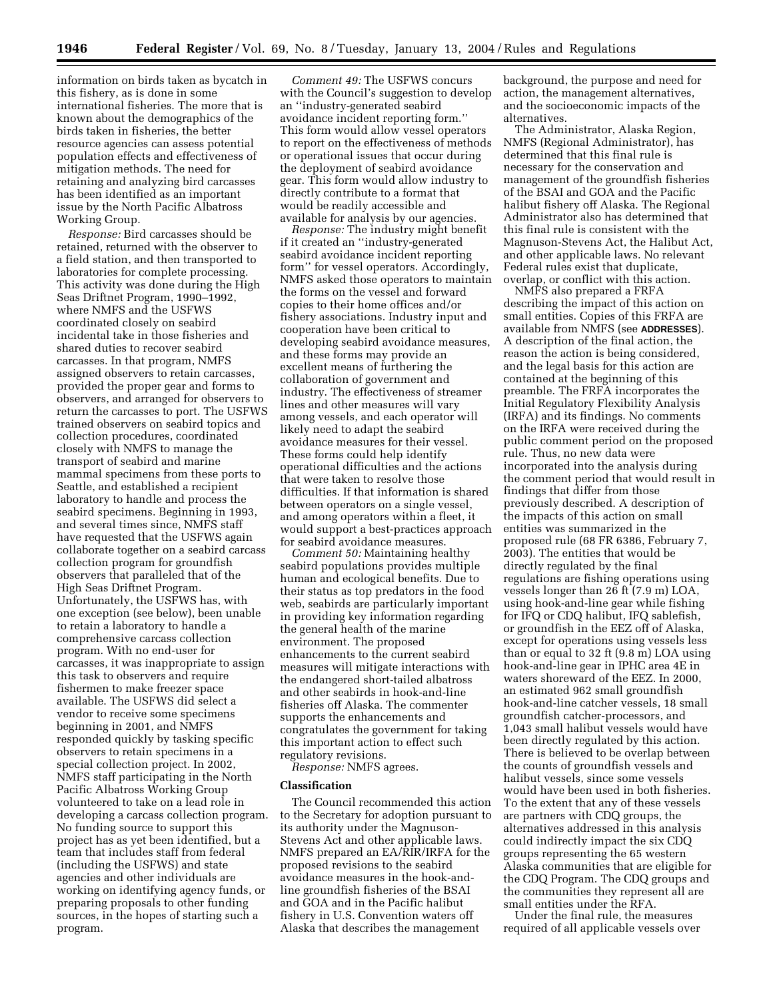information on birds taken as bycatch in this fishery, as is done in some international fisheries. The more that is known about the demographics of the birds taken in fisheries, the better resource agencies can assess potential population effects and effectiveness of mitigation methods. The need for retaining and analyzing bird carcasses has been identified as an important issue by the North Pacific Albatross Working Group.

*Response:* Bird carcasses should be retained, returned with the observer to a field station, and then transported to laboratories for complete processing. This activity was done during the High Seas Driftnet Program, 1990–1992, where NMFS and the USFWS coordinated closely on seabird incidental take in those fisheries and shared duties to recover seabird carcasses. In that program, NMFS assigned observers to retain carcasses, provided the proper gear and forms to observers, and arranged for observers to return the carcasses to port. The USFWS trained observers on seabird topics and collection procedures, coordinated closely with NMFS to manage the transport of seabird and marine mammal specimens from these ports to Seattle, and established a recipient laboratory to handle and process the seabird specimens. Beginning in 1993, and several times since, NMFS staff have requested that the USFWS again collaborate together on a seabird carcass collection program for groundfish observers that paralleled that of the High Seas Driftnet Program. Unfortunately, the USFWS has, with one exception (see below), been unable to retain a laboratory to handle a comprehensive carcass collection program. With no end-user for carcasses, it was inappropriate to assign this task to observers and require fishermen to make freezer space available. The USFWS did select a vendor to receive some specimens beginning in 2001, and NMFS responded quickly by tasking specific observers to retain specimens in a special collection project. In 2002, NMFS staff participating in the North Pacific Albatross Working Group volunteered to take on a lead role in developing a carcass collection program. No funding source to support this project has as yet been identified, but a team that includes staff from federal (including the USFWS) and state agencies and other individuals are working on identifying agency funds, or preparing proposals to other funding sources, in the hopes of starting such a program.

*Comment 49:* The USFWS concurs with the Council's suggestion to develop an ''industry-generated seabird avoidance incident reporting form.'' This form would allow vessel operators to report on the effectiveness of methods or operational issues that occur during the deployment of seabird avoidance gear. This form would allow industry to directly contribute to a format that would be readily accessible and available for analysis by our agencies.

*Response:* The industry might benefit if it created an ''industry-generated seabird avoidance incident reporting form'' for vessel operators. Accordingly, NMFS asked those operators to maintain the forms on the vessel and forward copies to their home offices and/or fishery associations. Industry input and cooperation have been critical to developing seabird avoidance measures, and these forms may provide an excellent means of furthering the collaboration of government and industry. The effectiveness of streamer lines and other measures will vary among vessels, and each operator will likely need to adapt the seabird avoidance measures for their vessel. These forms could help identify operational difficulties and the actions that were taken to resolve those difficulties. If that information is shared between operators on a single vessel, and among operators within a fleet, it would support a best-practices approach for seabird avoidance measures.

*Comment 50:* Maintaining healthy seabird populations provides multiple human and ecological benefits. Due to their status as top predators in the food web, seabirds are particularly important in providing key information regarding the general health of the marine environment. The proposed enhancements to the current seabird measures will mitigate interactions with the endangered short-tailed albatross and other seabirds in hook-and-line fisheries off Alaska. The commenter supports the enhancements and congratulates the government for taking this important action to effect such regulatory revisions.

*Response:* NMFS agrees.

## **Classification**

The Council recommended this action to the Secretary for adoption pursuant to its authority under the Magnuson-Stevens Act and other applicable laws. NMFS prepared an EA/RIR/IRFA for the proposed revisions to the seabird avoidance measures in the hook-andline groundfish fisheries of the BSAI and GOA and in the Pacific halibut fishery in U.S. Convention waters off Alaska that describes the management

background, the purpose and need for action, the management alternatives, and the socioeconomic impacts of the alternatives.

The Administrator, Alaska Region, NMFS (Regional Administrator), has determined that this final rule is necessary for the conservation and management of the groundfish fisheries of the BSAI and GOA and the Pacific halibut fishery off Alaska. The Regional Administrator also has determined that this final rule is consistent with the Magnuson-Stevens Act, the Halibut Act, and other applicable laws. No relevant Federal rules exist that duplicate, overlap, or conflict with this action.

NMFS also prepared a FRFA describing the impact of this action on small entities. Copies of this FRFA are available from NMFS (see **ADDRESSES**). A description of the final action, the reason the action is being considered, and the legal basis for this action are contained at the beginning of this preamble. The FRFA incorporates the Initial Regulatory Flexibility Analysis (IRFA) and its findings. No comments on the IRFA were received during the public comment period on the proposed rule. Thus, no new data were incorporated into the analysis during the comment period that would result in findings that differ from those previously described. A description of the impacts of this action on small entities was summarized in the proposed rule (68 FR 6386, February 7, 2003). The entities that would be directly regulated by the final regulations are fishing operations using vessels longer than 26 ft (7.9 m) LOA, using hook-and-line gear while fishing for IFQ or CDQ halibut, IFQ sablefish, or groundfish in the EEZ off of Alaska, except for operations using vessels less than or equal to 32 ft (9.8 m) LOA using hook-and-line gear in IPHC area 4E in waters shoreward of the EEZ. In 2000, an estimated 962 small groundfish hook-and-line catcher vessels, 18 small groundfish catcher-processors, and 1,043 small halibut vessels would have been directly regulated by this action. There is believed to be overlap between the counts of groundfish vessels and halibut vessels, since some vessels would have been used in both fisheries. To the extent that any of these vessels are partners with CDQ groups, the alternatives addressed in this analysis could indirectly impact the six CDQ groups representing the 65 western Alaska communities that are eligible for the CDQ Program. The CDQ groups and the communities they represent all are small entities under the RFA.

Under the final rule, the measures required of all applicable vessels over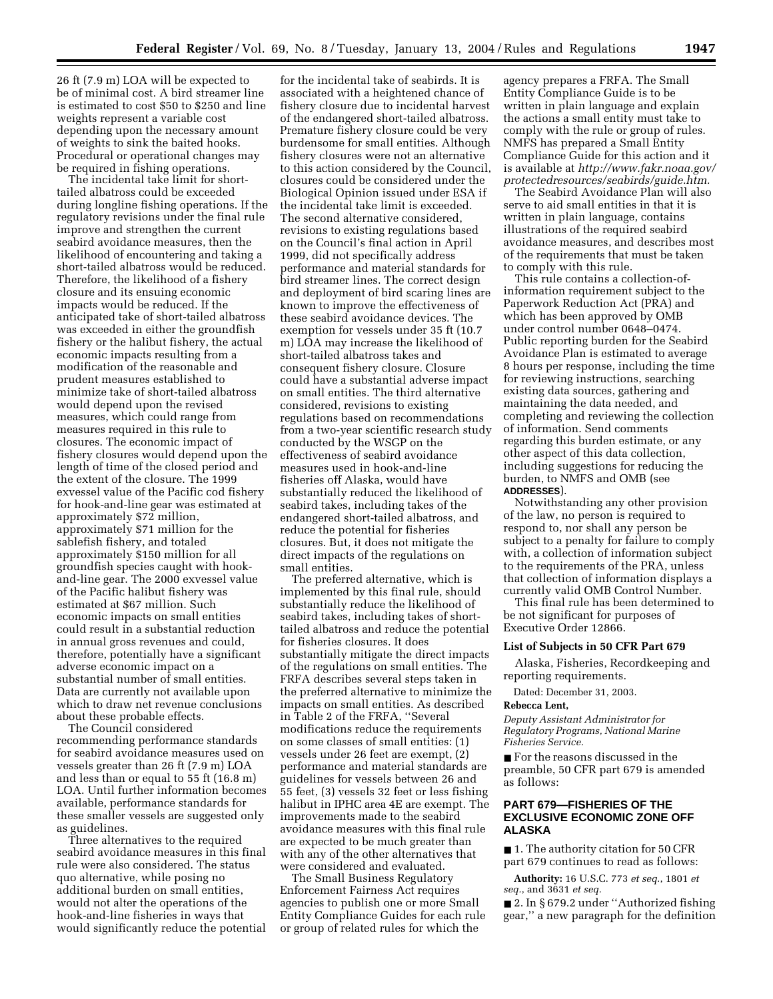26 ft (7.9 m) LOA will be expected to be of minimal cost. A bird streamer line is estimated to cost \$50 to \$250 and line weights represent a variable cost depending upon the necessary amount of weights to sink the baited hooks. Procedural or operational changes may be required in fishing operations.

The incidental take limit for shorttailed albatross could be exceeded during longline fishing operations. If the regulatory revisions under the final rule improve and strengthen the current seabird avoidance measures, then the likelihood of encountering and taking a short-tailed albatross would be reduced. Therefore, the likelihood of a fishery closure and its ensuing economic impacts would be reduced. If the anticipated take of short-tailed albatross was exceeded in either the groundfish fishery or the halibut fishery, the actual economic impacts resulting from a modification of the reasonable and prudent measures established to minimize take of short-tailed albatross would depend upon the revised measures, which could range from measures required in this rule to closures. The economic impact of fishery closures would depend upon the length of time of the closed period and the extent of the closure. The 1999 exvessel value of the Pacific cod fishery for hook-and-line gear was estimated at approximately \$72 million, approximately \$71 million for the sablefish fishery, and totaled approximately \$150 million for all groundfish species caught with hookand-line gear. The 2000 exvessel value of the Pacific halibut fishery was estimated at \$67 million. Such economic impacts on small entities could result in a substantial reduction in annual gross revenues and could, therefore, potentially have a significant adverse economic impact on a substantial number of small entities. Data are currently not available upon which to draw net revenue conclusions about these probable effects.

The Council considered recommending performance standards for seabird avoidance measures used on vessels greater than 26 ft (7.9 m) LOA and less than or equal to 55 ft (16.8 m) LOA. Until further information becomes available, performance standards for these smaller vessels are suggested only as guidelines.

Three alternatives to the required seabird avoidance measures in this final rule were also considered. The status quo alternative, while posing no additional burden on small entities, would not alter the operations of the hook-and-line fisheries in ways that would significantly reduce the potential

for the incidental take of seabirds. It is associated with a heightened chance of fishery closure due to incidental harvest of the endangered short-tailed albatross. Premature fishery closure could be very burdensome for small entities. Although fishery closures were not an alternative to this action considered by the Council, closures could be considered under the Biological Opinion issued under ESA if the incidental take limit is exceeded. The second alternative considered, revisions to existing regulations based on the Council's final action in April 1999, did not specifically address performance and material standards for bird streamer lines. The correct design and deployment of bird scaring lines are known to improve the effectiveness of these seabird avoidance devices. The exemption for vessels under 35 ft (10.7 m) LOA may increase the likelihood of short-tailed albatross takes and consequent fishery closure. Closure could have a substantial adverse impact on small entities. The third alternative considered, revisions to existing regulations based on recommendations from a two-year scientific research study conducted by the WSGP on the effectiveness of seabird avoidance measures used in hook-and-line fisheries off Alaska, would have substantially reduced the likelihood of seabird takes, including takes of the endangered short-tailed albatross, and reduce the potential for fisheries closures. But, it does not mitigate the direct impacts of the regulations on small entities.

The preferred alternative, which is implemented by this final rule, should substantially reduce the likelihood of seabird takes, including takes of shorttailed albatross and reduce the potential for fisheries closures. It does substantially mitigate the direct impacts of the regulations on small entities. The FRFA describes several steps taken in the preferred alternative to minimize the impacts on small entities. As described in Table 2 of the FRFA, ''Several modifications reduce the requirements on some classes of small entities: (1) vessels under 26 feet are exempt, (2) performance and material standards are guidelines for vessels between 26 and 55 feet, (3) vessels 32 feet or less fishing halibut in IPHC area 4E are exempt. The improvements made to the seabird avoidance measures with this final rule are expected to be much greater than with any of the other alternatives that were considered and evaluated.

The Small Business Regulatory Enforcement Fairness Act requires agencies to publish one or more Small Entity Compliance Guides for each rule or group of related rules for which the

agency prepares a FRFA. The Small Entity Compliance Guide is to be written in plain language and explain the actions a small entity must take to comply with the rule or group of rules. NMFS has prepared a Small Entity Compliance Guide for this action and it is available at *http://www.fakr.noaa.gov/ protectedresources/seabirds/guide.htm.*

The Seabird Avoidance Plan will also serve to aid small entities in that it is written in plain language, contains illustrations of the required seabird avoidance measures, and describes most of the requirements that must be taken to comply with this rule.

This rule contains a collection-ofinformation requirement subject to the Paperwork Reduction Act (PRA) and which has been approved by OMB under control number 0648–0474. Public reporting burden for the Seabird Avoidance Plan is estimated to average 8 hours per response, including the time for reviewing instructions, searching existing data sources, gathering and maintaining the data needed, and completing and reviewing the collection of information. Send comments regarding this burden estimate, or any other aspect of this data collection, including suggestions for reducing the burden, to NMFS and OMB (see **ADDRESSES**).

Notwithstanding any other provision of the law, no person is required to respond to, nor shall any person be subject to a penalty for failure to comply with, a collection of information subject to the requirements of the PRA, unless that collection of information displays a currently valid OMB Control Number.

This final rule has been determined to be not significant for purposes of Executive Order 12866.

## **List of Subjects in 50 CFR Part 679**

Alaska, Fisheries, Recordkeeping and reporting requirements.

Dated: December 31, 2003.

## **Rebecca Lent,**

*Deputy Assistant Administrator for Regulatory Programs, National Marine Fisheries Service.*

■ For the reasons discussed in the preamble, 50 CFR part 679 is amended as follows:

## **PART 679—FISHERIES OF THE EXCLUSIVE ECONOMIC ZONE OFF ALASKA**

■ 1. The authority citation for 50 CFR part 679 continues to read as follows:

**Authority:** 16 U.S.C. 773 *et seq.*, 1801 *et seq.*, and 3631 *et seq.*

■ 2. In § 679.2 under "Authorized fishing gear,'' a new paragraph for the definition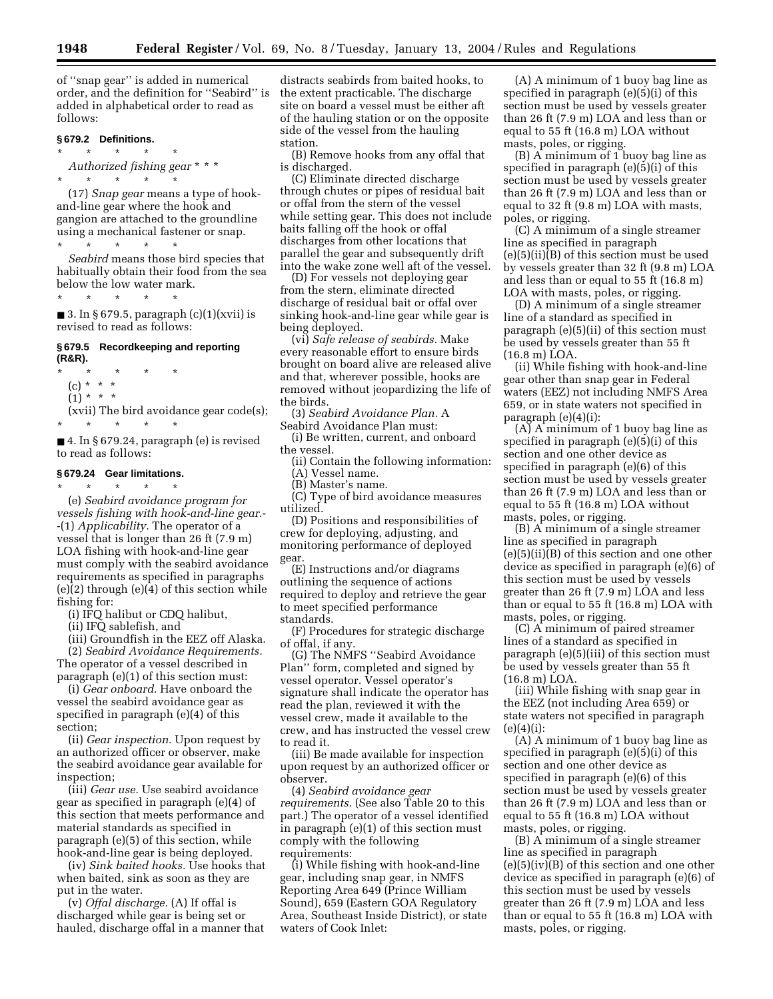of ''snap gear'' is added in numerical order, and the definition for ''Seabird'' is added in alphabetical order to read as follows:

### **§ 679.2 Definitions.**

\* \* \* \* \* *Authorized fishing gear* \* \* \*

 $\star$   $\qquad$   $\star$   $\qquad$   $\star$   $\qquad$   $\star$ 

(17) *Snap gear* means a type of hookand-line gear where the hook and gangion are attached to the groundline using a mechanical fastener or snap.

 $\overrightarrow{x}$  \* \* \* *Seabird* means those bird species that habitually obtain their food from the sea below the low water mark.

\* \* \* \* \*

■ 3. In § 679.5, paragraph (c)(1)(xvii) is revised to read as follows:

## **§ 679.5 Recordkeeping and reporting (R&R).**

\* \* \* \* \*

- (c) \* \* \*
- $(1) * * * *$

(xvii) The bird avoidance gear code(s);

\* \* \* \* \*

■ 4. In § 679.24, paragraph (e) is revised to read as follows:

# **§ 679.24 Gear limitations.**

\* \* \* \* \*

(e) *Seabird avoidance program for vessels fishing with hook-and-line gear.*- -(1) *Applicability.* The operator of a vessel that is longer than 26 ft (7.9 m) LOA fishing with hook-and-line gear must comply with the seabird avoidance requirements as specified in paragraphs (e)(2) through (e)(4) of this section while fishing for:

(i) IFQ halibut or CDQ halibut,

(ii) IFQ sablefish, and

(iii) Groundfish in the EEZ off Alaska. (2) *Seabird Avoidance Requirements.* The operator of a vessel described in paragraph (e)(1) of this section must:

(i) *Gear onboard.* Have onboard the vessel the seabird avoidance gear as specified in paragraph (e)(4) of this section;

(ii) *Gear inspection.* Upon request by an authorized officer or observer, make the seabird avoidance gear available for inspection;

(iii) *Gear use.* Use seabird avoidance gear as specified in paragraph (e)(4) of this section that meets performance and material standards as specified in paragraph (e)(5) of this section, while hook-and-line gear is being deployed.

(iv) *Sink baited hooks.* Use hooks that when baited, sink as soon as they are put in the water.

(v) *Offal discharge.* (A) If offal is discharged while gear is being set or hauled, discharge offal in a manner that

distracts seabirds from baited hooks, to the extent practicable. The discharge site on board a vessel must be either aft of the hauling station or on the opposite side of the vessel from the hauling station.

(B) Remove hooks from any offal that is discharged.

(C) Eliminate directed discharge through chutes or pipes of residual bait or offal from the stern of the vessel while setting gear. This does not include baits falling off the hook or offal discharges from other locations that parallel the gear and subsequently drift into the wake zone well aft of the vessel.

(D) For vessels not deploying gear from the stern, eliminate directed discharge of residual bait or offal over sinking hook-and-line gear while gear is being deployed.

(vi) *Safe release of seabirds.* Make every reasonable effort to ensure birds brought on board alive are released alive and that, wherever possible, hooks are removed without jeopardizing the life of the birds.

(3) *Seabird Avoidance Plan.* A Seabird Avoidance Plan must:

(i) Be written, current, and onboard the vessel.

(ii) Contain the following information: (A) Vessel name.

(B) Master's name.

(C) Type of bird avoidance measures utilized.

(D) Positions and responsibilities of crew for deploying, adjusting, and monitoring performance of deployed gear.

(E) Instructions and/or diagrams outlining the sequence of actions required to deploy and retrieve the gear to meet specified performance standards.

(F) Procedures for strategic discharge of offal, if any.

(G) The NMFS ''Seabird Avoidance Plan'' form, completed and signed by vessel operator. Vessel operator's signature shall indicate the operator has read the plan, reviewed it with the vessel crew, made it available to the crew, and has instructed the vessel crew to read it.

(iii) Be made available for inspection upon request by an authorized officer or observer.

(4) *Seabird avoidance gear requirements.* (See also Table 20 to this part.) The operator of a vessel identified in paragraph (e)(1) of this section must comply with the following requirements:

(i) While fishing with hook-and-line gear, including snap gear, in NMFS Reporting Area 649 (Prince William Sound), 659 (Eastern GOA Regulatory Area, Southeast Inside District), or state waters of Cook Inlet:

(A) A minimum of 1 buoy bag line as specified in paragraph (e)(5)(i) of this section must be used by vessels greater than 26 ft (7.9 m) LOA and less than or equal to 55 ft (16.8 m) LOA without masts, poles, or rigging.

(B) A minimum of 1 buoy bag line as specified in paragraph (e)(5)(i) of this section must be used by vessels greater than 26 ft (7.9 m) LOA and less than or equal to 32 ft (9.8 m) LOA with masts, poles, or rigging.

(C) A minimum of a single streamer line as specified in paragraph (e)(5)(ii)(B) of this section must be used by vessels greater than 32 ft (9.8 m) LOA and less than or equal to 55 ft (16.8 m) LOA with masts, poles, or rigging.

(D) A minimum of a single streamer line of a standard as specified in paragraph (e)(5)(ii) of this section must be used by vessels greater than 55 ft (16.8 m) LOA.

(ii) While fishing with hook-and-line gear other than snap gear in Federal waters (EEZ) not including NMFS Area 659, or in state waters not specified in paragraph (e)(4)(i):

 $(A)$  A minimum of 1 buoy bag line as specified in paragraph (e)(5)(i) of this section and one other device as specified in paragraph (e)(6) of this section must be used by vessels greater than 26 ft (7.9 m) LOA and less than or equal to 55 ft (16.8 m) LOA without masts, poles, or rigging.

(B) A minimum of a single streamer line as specified in paragraph (e)(5)(ii)(B) of this section and one other device as specified in paragraph (e)(6) of this section must be used by vessels greater than 26 ft (7.9 m) LOA and less than or equal to 55 ft (16.8 m) LOA with masts, poles, or rigging.

(C) A minimum of paired streamer lines of a standard as specified in paragraph (e)(5)(iii) of this section must be used by vessels greater than 55 ft (16.8 m) LOA.

(iii) While fishing with snap gear in the EEZ (not including Area 659) or state waters not specified in paragraph  $(e)(4)(i)$ :

(A) A minimum of 1 buoy bag line as specified in paragraph (e)(5)(i) of this section and one other device as specified in paragraph (e)(6) of this section must be used by vessels greater than 26 ft (7.9 m) LOA and less than or equal to 55 ft (16.8 m) LOA without masts, poles, or rigging.

(B) A minimum of a single streamer line as specified in paragraph  $(e)(5)(iv)(B)$  of this section and one other device as specified in paragraph (e)(6) of this section must be used by vessels greater than 26 ft (7.9 m) LOA and less than or equal to 55 ft (16.8 m) LOA with masts, poles, or rigging.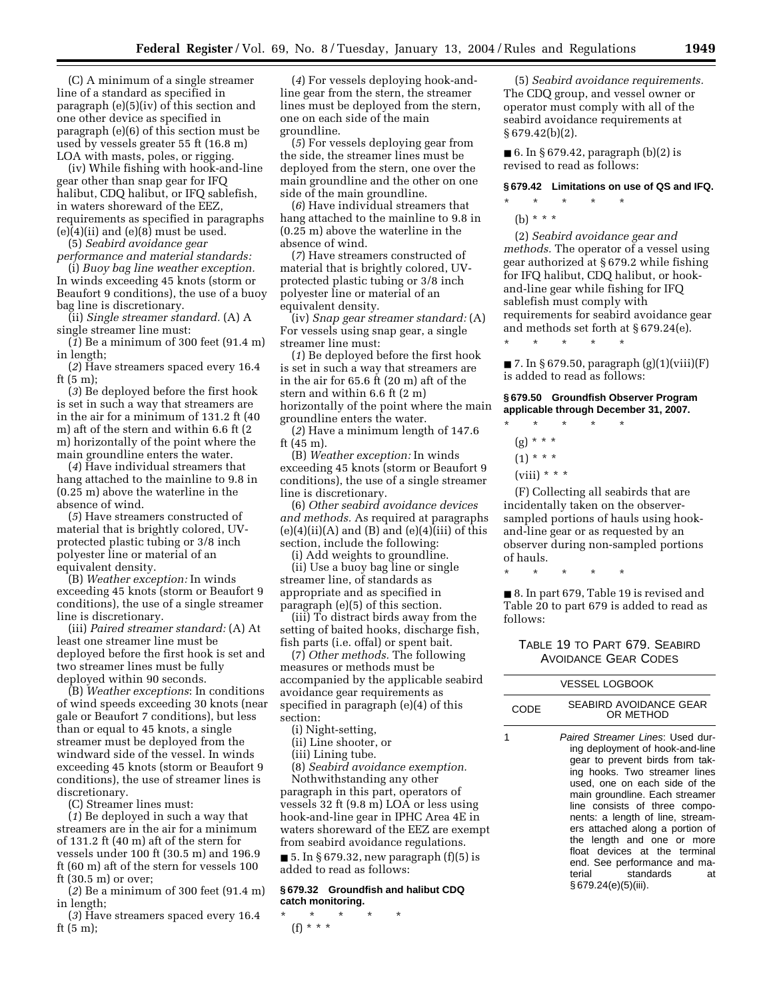(C) A minimum of a single streamer line of a standard as specified in paragraph (e)(5)(iv) of this section and one other device as specified in paragraph (e)(6) of this section must be used by vessels greater 55 ft (16.8 m) LOA with masts, poles, or rigging.

(iv) While fishing with hook-and-line gear other than snap gear for IFQ halibut, CDQ halibut, or IFQ sablefish, in waters shoreward of the EEZ, requirements as specified in paragraphs  $(e)(4)(ii)$  and  $(e)(8)$  must be used.

(5) *Seabird avoidance gear performance and material standards:*

(i) *Buoy bag line weather exception.* In winds exceeding 45 knots (storm or Beaufort 9 conditions), the use of a buoy bag line is discretionary.

(ii) *Single streamer standard.* (A) A single streamer line must:

(*1*) Be a minimum of 300 feet (91.4 m) in length;

(*2*) Have streamers spaced every 16.4 ft (5 m);

(*3*) Be deployed before the first hook is set in such a way that streamers are in the air for a minimum of 131.2 ft (40 m) aft of the stern and within 6.6 ft (2 m) horizontally of the point where the main groundline enters the water.

(*4*) Have individual streamers that hang attached to the mainline to 9.8 in (0.25 m) above the waterline in the absence of wind.

(*5*) Have streamers constructed of material that is brightly colored, UVprotected plastic tubing or 3/8 inch polyester line or material of an equivalent density.

(B) *Weather exception:* In winds exceeding 45 knots (storm or Beaufort 9 conditions), the use of a single streamer line is discretionary.

(iii) *Paired streamer standard:* (A) At least one streamer line must be deployed before the first hook is set and two streamer lines must be fully deployed within 90 seconds.

(B) *Weather exceptions*: In conditions of wind speeds exceeding 30 knots (near gale or Beaufort 7 conditions), but less than or equal to 45 knots, a single streamer must be deployed from the windward side of the vessel. In winds exceeding 45 knots (storm or Beaufort 9 conditions), the use of streamer lines is discretionary.

(C) Streamer lines must:

(*1*) Be deployed in such a way that streamers are in the air for a minimum of 131.2 ft (40 m) aft of the stern for vessels under 100 ft (30.5 m) and 196.9 ft (60 m) aft of the stern for vessels 100 ft (30.5 m) or over;

(*2*) Be a minimum of 300 feet (91.4 m) in length;

(*3*) Have streamers spaced every 16.4 ft (5 m);

(*4*) For vessels deploying hook-andline gear from the stern, the streamer lines must be deployed from the stern, one on each side of the main groundline.

(*5*) For vessels deploying gear from the side, the streamer lines must be deployed from the stern, one over the main groundline and the other on one side of the main groundline.

(*6*) Have individual streamers that hang attached to the mainline to 9.8 in (0.25 m) above the waterline in the absence of wind.

(*7*) Have streamers constructed of material that is brightly colored, UVprotected plastic tubing or 3/8 inch polyester line or material of an equivalent density.

(iv) *Snap gear streamer standard:* (A) For vessels using snap gear, a single streamer line must:

(*1*) Be deployed before the first hook is set in such a way that streamers are in the air for 65.6 ft (20 m) aft of the stern and within 6.6 ft (2 m) horizontally of the point where the main groundline enters the water.

(*2*) Have a minimum length of 147.6 ft (45 m).

(B) *Weather exception:* In winds exceeding 45 knots (storm or Beaufort 9 conditions), the use of a single streamer line is discretionary.

(6) *Other seabird avoidance devices and methods.* As required at paragraphs  $(e)(4)(ii)(A)$  and  $(B)$  and  $(e)(4)(iii)$  of this section, include the following:

(i) Add weights to groundline. (ii) Use a buoy bag line or single streamer line, of standards as appropriate and as specified in paragraph (e)(5) of this section.

(iii) To distract birds away from the setting of baited hooks, discharge fish, fish parts (i.e. offal) or spent bait.

(7) *Other methods.* The following measures or methods must be accompanied by the applicable seabird avoidance gear requirements as specified in paragraph (e)(4) of this section:

(i) Night-setting,

(ii) Line shooter, or

(iii) Lining tube.

(8) *Seabird avoidance exemption.*

Nothwithstanding any other paragraph in this part, operators of vessels 32 ft (9.8 m) LOA or less using hook-and-line gear in IPHC Area 4E in waters shoreward of the EEZ are exempt from seabird avoidance regulations.

■ 5. In § 679.32, new paragraph (f)(5) is added to read as follows:

### **§ 679.32 Groundfish and halibut CDQ catch monitoring.**

\* \* \* \* \*  $(f) * * * *$ 

(5) *Seabird avoidance requirements.* The CDQ group, and vessel owner or operator must comply with all of the seabird avoidance requirements at  $§ 679.42(b)(2).$ 

■ 6. In § 679.42, paragraph  $(b)(2)$  is revised to read as follows:

**§ 679.42 Limitations on use of QS and IFQ.**

\* \* \* \* \*

(b) \* \* \*

(2) *Seabird avoidance gear and methods.* The operator of a vessel using gear authorized at § 679.2 while fishing for IFQ halibut, CDQ halibut, or hookand-line gear while fishing for IFQ sablefish must comply with requirements for seabird avoidance gear and methods set forth at § 679.24(e).

\* \* \* \* \*

 $\blacksquare$  7. In § 679.50, paragraph (g)(1)(viii)(F) is added to read as follows:

**§ 679.50 Groundfish Observer Program applicable through December 31, 2007.**

- \* \* \* \* \*
- (g) \* \* \*
- $(1) * * * *$
- $(viii)$  \* \* \*

(F) Collecting all seabirds that are incidentally taken on the observersampled portions of hauls using hookand-line gear or as requested by an observer during non-sampled portions of hauls.

\* \* \* \* \*

■ 8. In part 679, Table 19 is revised and Table 20 to part 679 is added to read as follows:

# TABLE 19 TO PART 679. SEABIRD AVOIDANCE GEAR CODES

|      | <b>VESSEL LOGBOOK</b>                                                                                                                                                                                                                                                                                                                                                                                                                                               |
|------|---------------------------------------------------------------------------------------------------------------------------------------------------------------------------------------------------------------------------------------------------------------------------------------------------------------------------------------------------------------------------------------------------------------------------------------------------------------------|
| CODE | SEABIRD AVOIDANCE GEAR<br>OR METHOD                                                                                                                                                                                                                                                                                                                                                                                                                                 |
| 1    | Paired Streamer Lines: Used dur-<br>ing deployment of hook-and-line<br>gear to prevent birds from tak-<br>ing hooks. Two streamer lines<br>used, one on each side of the<br>main groundline. Each streamer<br>line consists of three compo-<br>nents: a length of line, stream-<br>ers attached along a portion of<br>the length and one or more<br>float devices at the terminal<br>end. See performance and ma-<br>terial standards<br>аt<br>§ 679.24(e)(5)(iii). |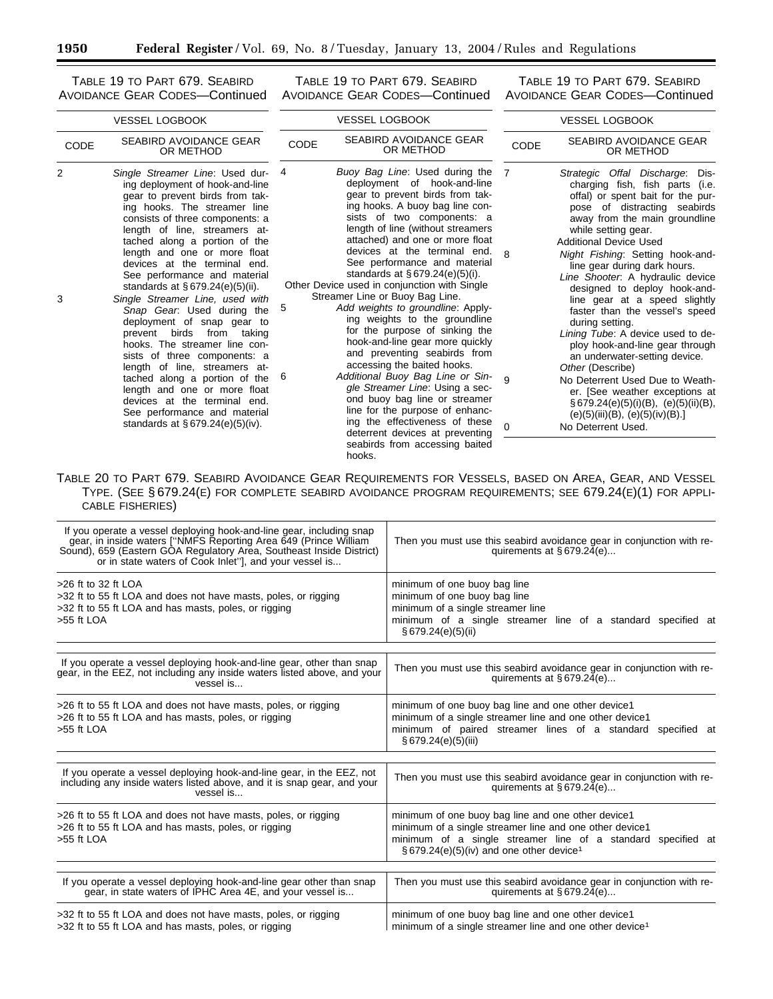TABLE 19 TO PART 679. SEABIRD

AVOIDANCE GEAR CODES—Continued AVOIDANCE GEAR CODES—Continued TABLE 19 TO PART 679. SEABIRD

TABLE 19 TO PART 679. SEABIRD AVOIDANCE GEAR CODES—Continued

| <b>VESSEL LOGBOOK</b> |                                                                                                                                                                                                                                                                                                                                                                                                         | <b>VESSEL LOGBOOK</b>                                                                                                                                                                                                                                                                                                                                                                                                                        |                                                                                                                                                                                                                                                                                                                                                                                                                                                            | <b>VESSEL LOGBOOK</b> |                                                                                                                                                                                                                                                                                                                                                                                         |
|-----------------------|---------------------------------------------------------------------------------------------------------------------------------------------------------------------------------------------------------------------------------------------------------------------------------------------------------------------------------------------------------------------------------------------------------|----------------------------------------------------------------------------------------------------------------------------------------------------------------------------------------------------------------------------------------------------------------------------------------------------------------------------------------------------------------------------------------------------------------------------------------------|------------------------------------------------------------------------------------------------------------------------------------------------------------------------------------------------------------------------------------------------------------------------------------------------------------------------------------------------------------------------------------------------------------------------------------------------------------|-----------------------|-----------------------------------------------------------------------------------------------------------------------------------------------------------------------------------------------------------------------------------------------------------------------------------------------------------------------------------------------------------------------------------------|
| CODE                  | SEABIRD AVOIDANCE GEAR<br>OR METHOD                                                                                                                                                                                                                                                                                                                                                                     | <b>CODE</b>                                                                                                                                                                                                                                                                                                                                                                                                                                  | SEABIRD AVOIDANCE GEAR<br>OR METHOD                                                                                                                                                                                                                                                                                                                                                                                                                        | CODE                  | SEABIRD AVOIDANCE GEAR<br>OR METHOD                                                                                                                                                                                                                                                                                                                                                     |
| 2                     | Single Streamer Line: Used dur- 4<br>ing deployment of hook-and-line<br>gear to prevent birds from tak-<br>ing hooks. The streamer line<br>consists of three components: a<br>length of line, streamers at-<br>tached along a portion of the<br>length and one or more float<br>devices at the terminal end.<br>See performance and material<br>standards at $\S 679.24(e)(5)(ii)$ .                    | Buoy Bag Line: Used during the 7<br>deployment of hook-and-line<br>gear to prevent birds from tak-<br>ing hooks. A buoy bag line con-<br>sists of two components: a<br>length of line (without streamers<br>attached) and one or more float<br>devices at the terminal end. $\beta$<br>See performance and material<br>standards at $§ 679.24(e)(5)(i)$ .<br>Other Device used in conjunction with Single<br>Streamer Line or Buoy Bag Line. |                                                                                                                                                                                                                                                                                                                                                                                                                                                            |                       | Strategic Offal Discharge: Dis-<br>charging fish, fish parts (i.e.<br>offal) or spent bait for the pur-<br>pose of distracting seabirds<br>away from the main groundline<br>while setting gear.<br><b>Additional Device Used</b><br>Night Fishing: Setting hook-and-<br>line gear during dark hours.<br>Line Shooter. A hydraulic device<br>designed to deploy hook-and-                |
| 3                     | Single Streamer Line, used with<br>Snap Gear. Used during the<br>deployment of snap gear to<br>prevent birds from taking<br>hooks. The streamer line con-<br>sists of three components: a<br>length of line, streamers at-<br>tached along a portion of the $6$<br>length and one or more float<br>devices at the terminal end.<br>See performance and material<br>standards at $\S 679.24(e)(5)(iv)$ . | 5                                                                                                                                                                                                                                                                                                                                                                                                                                            | Add weights to groundline: Apply-<br>ing weights to the groundline<br>for the purpose of sinking the<br>hook-and-line gear more quickly<br>and preventing seabirds from<br>accessing the baited hooks.<br>Additional Buoy Bag Line or Sin- 9<br>gle Streamer Line: Using a sec-<br>ond buoy bag line or streamer<br>line for the purpose of enhanc-<br>ing the effectiveness of these<br>deterrent devices at preventing<br>seabirds from accessing baited | 0                     | line gear at a speed slightly<br>faster than the vessel's speed<br>during setting.<br>Lining Tube: A device used to de-<br>ploy hook-and-line gear through<br>an underwater-setting device.<br>Other (Describe)<br>No Deterrent Used Due to Weath-<br>er. [See weather exceptions at<br>$\S 679.24(e)(5)(i)(B), (e)(5)(ii)(B),$<br>(e)(5)(iii)(B), (e)(5)(iv)(B).<br>No Deterrent Used. |

# TABLE 20 TO PART 679. SEABIRD AVOIDANCE GEAR REQUIREMENTS FOR VESSELS, BASED ON AREA, GEAR, AND VESSEL TYPE. (SEE § 679.24(E) FOR COMPLETE SEABIRD AVOIDANCE PROGRAM REQUIREMENTS; SEE 679.24(E)(1) FOR APPLI-CABLE FISHERIES)

hooks.

| If you operate a vessel deploying hook-and-line gear, including snap<br>gear, in inside waters ["NMFS Reporting Area 649 (Prince William<br>Sound), 659 (Eastern GOA Regulatory Area, Southeast Inside District)<br>or in state waters of Cook Inlet"], and your vessel is | Then you must use this seabird avoidance gear in conjunction with re-<br>quirements at $§ 679.24(e)$                                                                                                                                     |
|----------------------------------------------------------------------------------------------------------------------------------------------------------------------------------------------------------------------------------------------------------------------------|------------------------------------------------------------------------------------------------------------------------------------------------------------------------------------------------------------------------------------------|
| $>26$ ft to 32 ft LOA<br>>32 ft to 55 ft LOA and does not have masts, poles, or rigging<br>>32 ft to 55 ft LOA and has masts, poles, or rigging<br>$>55$ ft LOA                                                                                                            | minimum of one buoy bag line<br>minimum of one buoy bag line<br>minimum of a single streamer line<br>minimum of a single streamer line of a standard specified at<br>§ 679.24(e)(5)(ii)                                                  |
| If you operate a vessel deploying hook-and-line gear, other than snap<br>gear, in the EEZ, not including any inside waters listed above, and your<br>vessel is                                                                                                             | Then you must use this seabird avoidance gear in conjunction with re-<br>quirements at $§ 679.24(e)$                                                                                                                                     |
| >26 ft to 55 ft LOA and does not have masts, poles, or rigging<br>>26 ft to 55 ft LOA and has masts, poles, or rigging<br>>55 ft LOA                                                                                                                                       | minimum of one buoy bag line and one other device1<br>minimum of a single streamer line and one other device1<br>minimum of paired streamer lines of a standard specified at<br>§ 679.24(e)(5)(iii)                                      |
| If you operate a vessel deploying hook-and-line gear, in the EEZ, not<br>including any inside waters listed above, and it is snap gear, and your<br>vessel is                                                                                                              | Then you must use this seabird avoidance gear in conjunction with re-<br>quirements at $§ 679.24(e)$                                                                                                                                     |
| >26 ft to 55 ft LOA and does not have masts, poles, or rigging<br>>26 ft to 55 ft LOA and has masts, poles, or rigging<br>$>55$ ft LOA                                                                                                                                     | minimum of one buoy bag line and one other device1<br>minimum of a single streamer line and one other device1<br>minimum of a single streamer line of a standard specified at<br>$\S$ 679.24(e)(5)(iv) and one other device <sup>1</sup> |
| If you operate a vessel deploying hook-and-line gear other than snap<br>gear, in state waters of IPHC Area 4E, and your vessel is                                                                                                                                          | Then you must use this seabird avoidance gear in conjunction with re-<br>quirements at $§ 679.24(e)$                                                                                                                                     |
| >32 ft to 55 ft LOA and does not have masts, poles, or rigging<br>>32 ft to 55 ft LOA and has masts, poles, or rigging                                                                                                                                                     | minimum of one buoy bag line and one other device1<br>minimum of a single streamer line and one other device <sup>1</sup>                                                                                                                |

▀